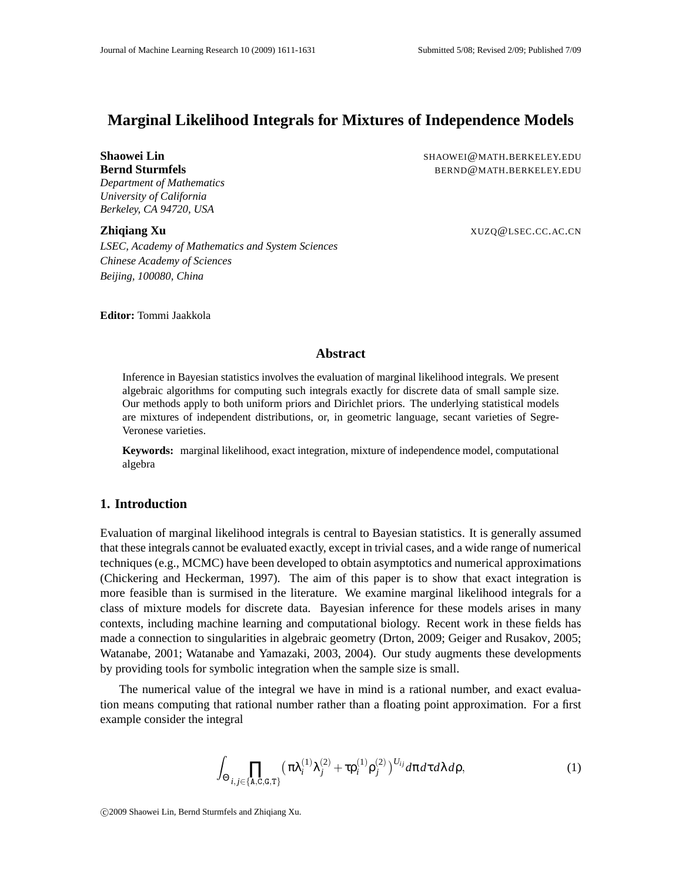# **Marginal Likelihood Integrals for Mixtures of Independence Models**

*Department of Mathematics University of California Berkeley, CA 94720, USA*

*LSEC, Academy of Mathematics and System Sciences Chinese Academy of Sciences Beijing, 100080, China*

**Shaowei Lin** SHAOWEI@MATH.BERKELEY.EDU **Bernd Sturmfels** BERND@MATH.BERKELEY.EDU

**Zhiqiang Xu** XUZQ@LSEC.CC.AC.CN

**Editor:** Tommi Jaakkola

### **Abstract**

Inference in Bayesian statistics involves the evaluation of marginal likelihood integrals. We present algebraic algorithms for computing such integrals exactly for discrete data of small sample size. Our methods apply to both uniform priors and Dirichlet priors. The underlying statistical models are mixtures of independent distributions, or, in geometric language, secant varieties of Segre-Veronese varieties.

**Keywords:** marginal likelihood, exact integration, mixture of independence model, computational algebra

# **1. Introduction**

Evaluation of marginal likelihood integrals is central to Bayesian statistics. It is generally assumed that these integrals cannot be evaluated exactly, except in trivial cases, and a wide range of numerical techniques (e.g., MCMC) have been developed to obtain asymptotics and numerical approximations (Chickering and Heckerman, 1997). The aim of this paper is to show that exact integration is more feasible than is surmised in the literature. We examine marginal likelihood integrals for a class of mixture models for discrete data. Bayesian inference for these models arises in many contexts, including machine learning and computational biology. Recent work in these fields has made a connection to singularities in algebraic geometry (Drton, 2009; Geiger and Rusakov, 2005; Watanabe, 2001; Watanabe and Yamazaki, 2003, 2004). Our study augments these developments by providing tools for symbolic integration when the sample size is small.

The numerical value of the integral we have in mind is a rational number, and exact evaluation means computing that rational number rather than a floating point approximation. For a first example consider the integral

$$
\int_{\Theta} \prod_{i,j\in\{\text{A,C,G,T}\}} \left(\pi \lambda_i^{(1)} \lambda_j^{(2)} + \tau \rho_i^{(1)} \rho_j^{(2)}\right)^{U_{ij}} d\pi d\tau d\lambda d\rho, \tag{1}
$$

c 2009 Shaowei Lin, Bernd Sturmfels and Zhiqiang Xu.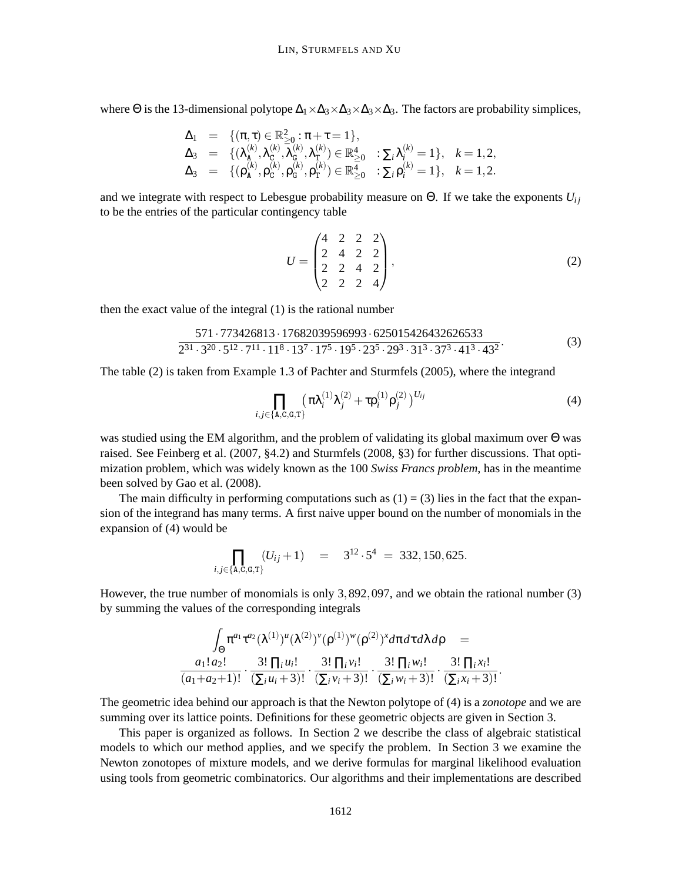where  $\Theta$  is the 13-dimensional polytope  $\Delta_1 \times \Delta_3 \times \Delta_3 \times \Delta_3$ . The factors are probability simplices,

$$
\begin{array}{lll}\n\Delta_1 & = & \{ (\pi, \tau) \in \mathbb{R}^2_{\geq 0} : \pi + \tau = 1 \}, \\
\Delta_3 & = & \{ (\lambda_{\mathbf{A}}^{(k)}, \lambda_{\mathbf{C}}^{(k)}, \lambda_{\mathbf{G}}^{(k)}, \lambda_{\mathbf{T}}^{(k)}) \in \mathbb{R}^4_{\geq 0} \quad : \Sigma_i \lambda_i^{(k)} = 1 \}, \quad k = 1, 2, \\
\Delta_3 & = & \{ (\mathsf{p}_{\mathbf{A}}^{(k)}, \mathsf{p}_{\mathbf{C}}^{(k)}, \mathsf{p}_{\mathbf{G}}^{(k)}, \mathsf{p}_{\mathbf{T}}^{(k)}) \in \mathbb{R}^4_{\geq 0} \quad : \Sigma_i \mathsf{p}_i^{(k)} = 1 \}, \quad k = 1, 2.\n\end{array}
$$

and we integrate with respect to Lebesgue probability measure on  $\Theta$ . If we take the exponents  $U_{ii}$ to be the entries of the particular contingency table

$$
U = \begin{pmatrix} 4 & 2 & 2 & 2 \\ 2 & 4 & 2 & 2 \\ 2 & 2 & 4 & 2 \\ 2 & 2 & 2 & 4 \end{pmatrix},
$$
 (2)

then the exact value of the integral (1) is the rational number

$$
\frac{571 \cdot 773426813 \cdot 17682039596993 \cdot 625015426432626533}{2^{31} \cdot 3^{20} \cdot 5^{12} \cdot 7^{11} \cdot 11^8 \cdot 13^7 \cdot 17^5 \cdot 19^5 \cdot 23^5 \cdot 29^3 \cdot 31^3 \cdot 37^3 \cdot 41^3 \cdot 43^2} \cdot (3)
$$

The table (2) is taken from Example 1.3 of Pachter and Sturmfels (2005), where the integrand

$$
\prod_{i,j \in \{\text{A},\text{C},\text{G},\text{T}\}} (\pi \lambda_i^{(1)} \lambda_j^{(2)} + \tau \rho_i^{(1)} \rho_j^{(2)})^{U_{ij}} \tag{4}
$$

was studied using the EM algorithm, and the problem of validating its global maximum over Θ was raised. See Feinberg et al. (2007, §4.2) and Sturmfels (2008, §3) for further discussions. That optimization problem, which was widely known as the 100 *Swiss Francs problem*, has in the meantime been solved by Gao et al. (2008).

The main difficulty in performing computations such as  $(1) = (3)$  lies in the fact that the expansion of the integrand has many terms. A first naive upper bound on the number of monomials in the expansion of (4) would be

$$
\prod_{i,j\in\{\text{A,C,G,T}\}} (U_{ij}+1) = 3^{12}\cdot 5^4 = 332,150,625.
$$

However, the true number of monomials is only 3,892,097, and we obtain the rational number (3) by summing the values of the corresponding integrals

$$
\int_{\Theta} \pi^{a_1} \tau^{a_2} (\lambda^{(1)})^u (\lambda^{(2)})^v (\rho^{(1)})^w (\rho^{(2)})^x d\pi d\tau d\lambda d\rho = a_1! a_2! \frac{3! \prod_i u_i!}{(\sum_i u_i + 3)!} \cdot \frac{3! \prod_i v_i!}{(\sum_i v_i + 3)!} \cdot \frac{3! \prod_i w_i!}{(\sum_i w_i + 3)!} \cdot \frac{3! \prod_i w_i!}{(\sum_i w_i + 3)!}.
$$

The geometric idea behind our approach is that the Newton polytope of (4) is a *zonotope* and we are summing over its lattice points. Definitions for these geometric objects are given in Section 3.

This paper is organized as follows. In Section 2 we describe the class of algebraic statistical models to which our method applies, and we specify the problem. In Section 3 we examine the Newton zonotopes of mixture models, and we derive formulas for marginal likelihood evaluation using tools from geometric combinatorics. Our algorithms and their implementations are described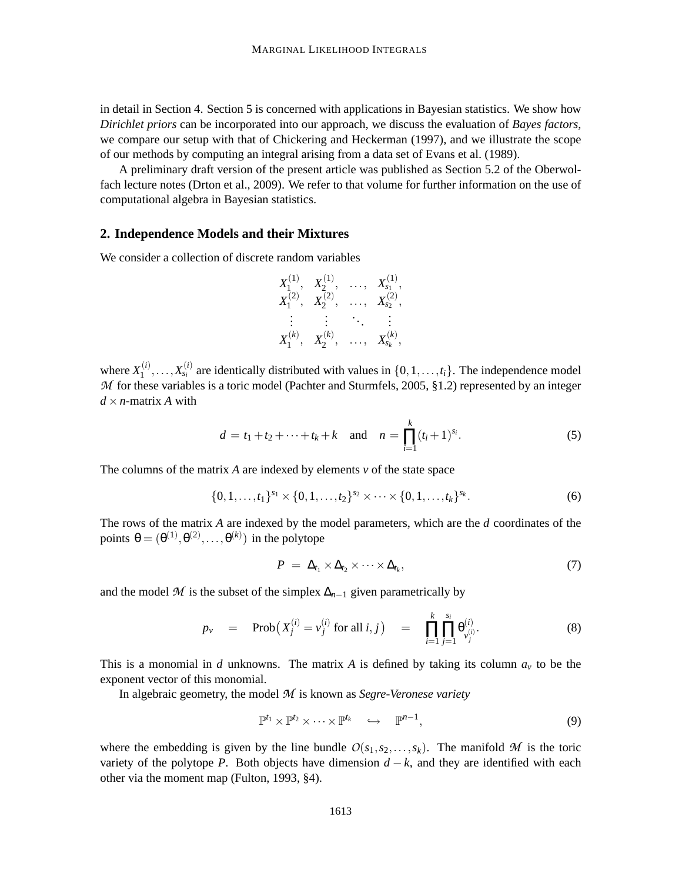in detail in Section 4. Section 5 is concerned with applications in Bayesian statistics. We show how *Dirichlet priors* can be incorporated into our approach, we discuss the evaluation of *Bayes factors*, we compare our setup with that of Chickering and Heckerman (1997), and we illustrate the scope of our methods by computing an integral arising from a data set of Evans et al. (1989).

A preliminary draft version of the present article was published as Section 5.2 of the Oberwolfach lecture notes (Drton et al., 2009). We refer to that volume for further information on the use of computational algebra in Bayesian statistics.

#### **2. Independence Models and their Mixtures**

We consider a collection of discrete random variables

$$
\begin{matrix}X_1^{(1)}, & X_2^{(1)}, & \ldots, & X_{s_1}^{(1)},\\ X_1^{(2)}, & X_2^{(2)}, & \ldots, & X_{s_2}^{(2)},\\ \vdots & \vdots & \ddots & \vdots \\ X_1^{(k)}, & X_2^{(k)}, & \ldots, & X_{s_k}^{(k)},\end{matrix}
$$

where  $X_1^{(i)}$  $X_1^{(i)}, \ldots, X_{s_i}^{(i)}$  are identically distributed with values in  $\{0, 1, \ldots, t_i\}$ . The independence model *M* for these variables is a toric model (Pachter and Sturmfels, 2005, §1.2) represented by an integer  $d \times n$ -matrix *A* with

$$
d = t_1 + t_2 + \dots + t_k + k \quad \text{and} \quad n = \prod_{i=1}^k (t_i + 1)^{s_i}.
$$
 (5)

The columns of the matrix *A* are indexed by elements *v* of the state space

$$
\{0,1,\ldots,t_1\}^{s_1} \times \{0,1,\ldots,t_2\}^{s_2} \times \cdots \times \{0,1,\ldots,t_k\}^{s_k}.
$$
 (6)

The rows of the matrix *A* are indexed by the model parameters, which are the *d* coordinates of the points  $\theta = (\theta^{(1)}, \theta^{(2)}, \dots, \theta^{(k)})$  in the polytope

$$
P = \Delta_{t_1} \times \Delta_{t_2} \times \cdots \times \Delta_{t_k}, \qquad (7)
$$

and the model  $M$  is the subset of the simplex  $\Delta_{n-1}$  given parametrically by

$$
p_{\nu} = \text{Prob}\big(X_j^{(i)} = \nu_j^{(i)} \text{ for all } i, j\big) = \prod_{i=1}^k \prod_{j=1}^{s_i} \theta_{\nu_j^{(i)}}^{(i)}.
$$
 (8)

This is a monomial in *d* unknowns. The matrix *A* is defined by taking its column  $a<sub>v</sub>$  to be the exponent vector of this monomial.

In algebraic geometry, the model *M* is known as *Segre-Veronese variety*

$$
\mathbb{P}^{t_1} \times \mathbb{P}^{t_2} \times \cdots \times \mathbb{P}^{t_k} \quad \hookrightarrow \quad \mathbb{P}^{n-1},\tag{9}
$$

where the embedding is given by the line bundle  $O(s_1, s_2, \ldots, s_k)$ . The manifold M is the toric variety of the polytope *P*. Both objects have dimension  $d - k$ , and they are identified with each other via the moment map (Fulton, 1993, §4).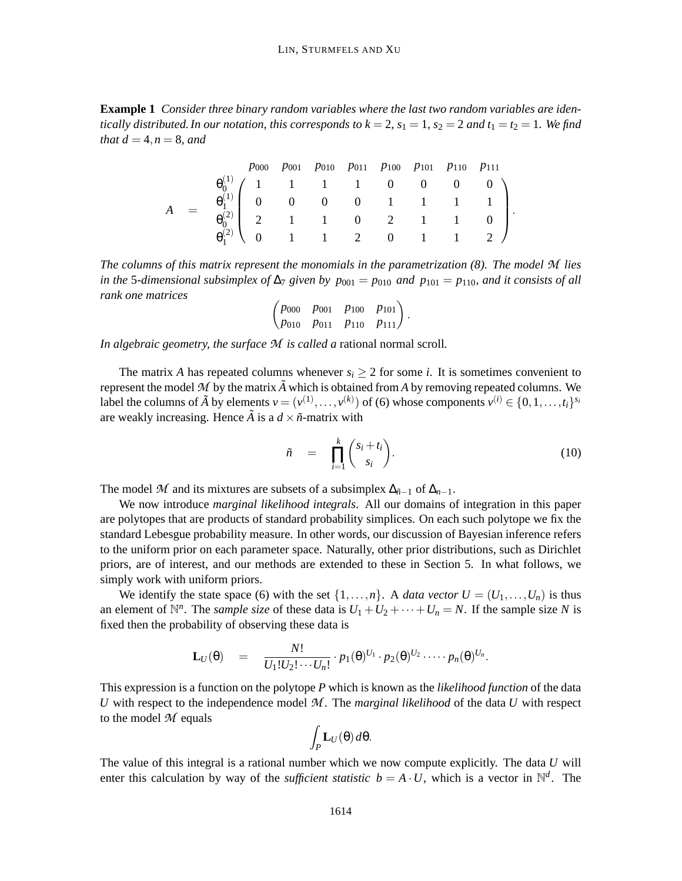**Example 1** *Consider three binary random variables where the last two random variables are identically distributed. In our notation, this corresponds to*  $k = 2$ *,*  $s_1 = 1$ *,*  $s_2 = 2$  *and*  $t_1 = t_2 = 1$ *. We find that*  $d = 4, n = 8, and$ 

|  |  |  |  | $p_{000}$ $p_{001}$ $p_{010}$ $p_{011}$ $p_{100}$ $p_{101}$ $p_{110}$ $p_{111}$ |                                                                                                                                                                                                                                  |  |
|--|--|--|--|---------------------------------------------------------------------------------|----------------------------------------------------------------------------------------------------------------------------------------------------------------------------------------------------------------------------------|--|
|  |  |  |  |                                                                                 |                                                                                                                                                                                                                                  |  |
|  |  |  |  |                                                                                 |                                                                                                                                                                                                                                  |  |
|  |  |  |  |                                                                                 |                                                                                                                                                                                                                                  |  |
|  |  |  |  |                                                                                 | $\theta_0^{(1)}$ $\begin{pmatrix} 1 & 1 & 1 & 1 & 0 & 0 & 0 & 0 \ 0 & 1 & 1 & 1 & 1 & 1 & 1 \ 0 & 0 & 0 & 0 & 0 & 1 & 1 & 1 & 1 \ 0 & 0 & 0 & 1 & 1 & 0 & 2 & 1 & 1 & 0 \ 0 & 0 & 1 & 1 & 1 & 2 & 0 & 1 & 1 & 2 \end{pmatrix}$ . |  |

*The columns of this matrix represent the monomials in the parametrization (8). The model M lies in the* 5*-dimensional subsimplex of*  $\Delta_7$  *given by*  $p_{001} = p_{010}$  *and*  $p_{101} = p_{110}$ *, and it consists of all rank one matrices*

$$
\begin{pmatrix} p_{000} & p_{001} & p_{100} & p_{101} \ p_{010} & p_{011} & p_{110} & p_{111} \end{pmatrix}.
$$

*In algebraic geometry, the surface M is called a* rational normal scroll*.*

The matrix *A* has repeated columns whenever  $s_i \geq 2$  for some *i*. It is sometimes convenient to represent the model  $M$  by the matrix  $\tilde{A}$  which is obtained from  $A$  by removing repeated columns. We label the columns of  $\tilde{A}$  by elements  $v = (v^{(1)}, \ldots, v^{(k)})$  of (6) whose components  $v^{(i)} \in \{0, 1, \ldots, t_i\}^{s_i}$ are weakly increasing. Hence  $\tilde{A}$  is a  $d \times \tilde{n}$ -matrix with

$$
\tilde{n} = \prod_{i=1}^{k} {s_i + t_i \choose s_i}.
$$
\n(10)

The model *M* and its mixtures are subsets of a subsimplex  $\Delta_{\tilde{n}-1}$  of  $\Delta_{n-1}$ .

We now introduce *marginal likelihood integrals*. All our domains of integration in this paper are polytopes that are products of standard probability simplices. On each such polytope we fix the standard Lebesgue probability measure. In other words, our discussion of Bayesian inference refers to the uniform prior on each parameter space. Naturally, other prior distributions, such as Dirichlet priors, are of interest, and our methods are extended to these in Section 5. In what follows, we simply work with uniform priors.

We identify the state space (6) with the set  $\{1, \ldots, n\}$ . A *data vector*  $U = (U_1, \ldots, U_n)$  is thus an element of  $\mathbb{N}^n$ . The *sample size* of these data is  $U_1 + U_2 + \cdots + U_n = N$ . If the sample size *N* is fixed then the probability of observing these data is

$$
\mathbf{L}_U(\theta) = \frac{N!}{U_1!U_2!\cdots U_n!} \cdot p_1(\theta)^{U_1} \cdot p_2(\theta)^{U_2} \cdots \cdots p_n(\theta)^{U_n}.
$$

This expression is a function on the polytope *P* which is known as the *likelihood function* of the data *U* with respect to the independence model *M* . The *marginal likelihood* of the data *U* with respect to the model *M* equals

$$
\int_P \mathbf{L}_U(\theta) \, d\theta.
$$

The value of this integral is a rational number which we now compute explicitly. The data *U* will enter this calculation by way of the *sufficient statistic*  $b = A \cdot U$ , which is a vector in  $\mathbb{N}^d$ . The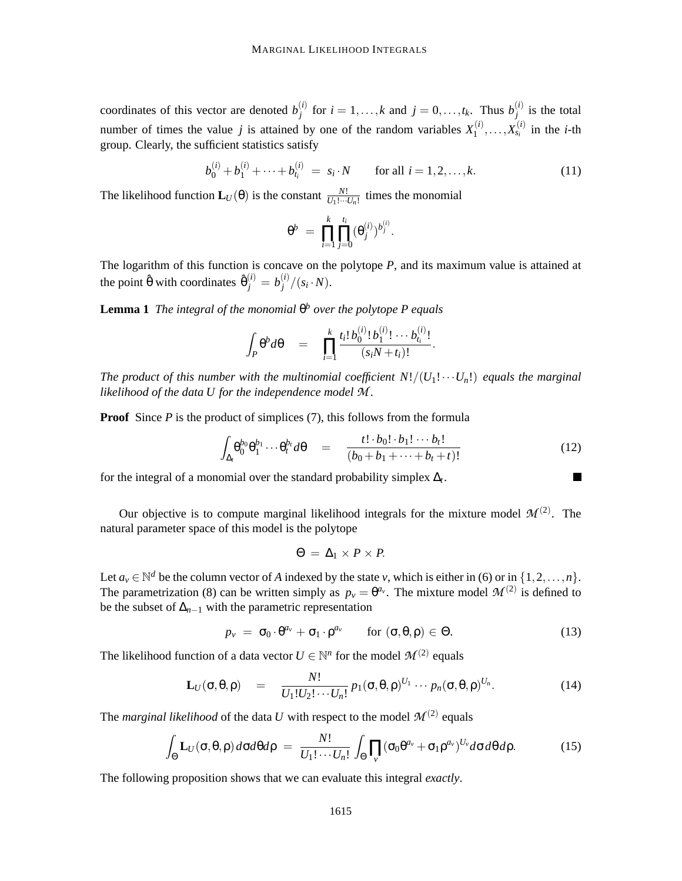coordinates of this vector are denoted  $b_i^{(i)}$ *j* for  $i = 1, ..., k$  and  $j = 0, ..., t_k$ . Thus  $b_j^{(i)}$  $j^{(l)}$  is the total number of times the value *j* is attained by one of the random variables  $X_1^{(i)}$  $X_1^{(i)}, \ldots, X_{s_i}^{(i)}$  in the *i*-th group. Clearly, the sufficient statistics satisfy

$$
b_0^{(i)} + b_1^{(i)} + \dots + b_{t_i}^{(i)} = s_i \cdot N \qquad \text{for all } i = 1, 2, \dots, k. \tag{11}
$$

The likelihood function  $\mathbf{L}_U(\theta)$  is the constant  $\frac{N!}{U_1!\cdots U_n!}$  times the monomial

$$
\theta^b \; = \; \prod_{i=1}^k \prod_{j=0}^{t_i} (\theta_j^{(i)})^{b_j^{(i)}}.
$$

The logarithm of this function is concave on the polytope *P*, and its maximum value is attained at the point  $\hat{\theta}$  with coordinates  $\hat{\theta}^{(i)}_j = b^{(i)}_j$  $\binom{U}{j}$   $(x_i \cdot N)$ .

**Lemma 1** *The integral of the monomial* θ *<sup>b</sup> over the polytope P equals*

$$
\int_P \theta^b d\theta = \prod_{i=1}^k \frac{t_i! b_0^{(i)}! b_1^{(i)}! \cdots b_{t_i}^{(i)}!}{(s_i N+t_i)!}.
$$

*The product of this number with the multinomial coefficient*  $N!/(U_1! \cdots U_n!)$  *equals the marginal likelihood of the data U for the independence model M .*

**Proof** Since *P* is the product of simplices (7), this follows from the formula

$$
\int_{\Delta_t} \theta_0^{b_0} \theta_1^{b_1} \cdots \theta_t^{b_t} d\theta = \frac{t! \cdot b_0! \cdot b_1! \cdots b_t!}{(b_0 + b_1 + \cdots + b_t + t)!}
$$
\n(12)

for the integral of a monomial over the standard probability simplex ∆*<sup>t</sup>* .

Our objective is to compute marginal likelihood integrals for the mixture model  $\mathcal{M}^{(2)}$ . The natural parameter space of this model is the polytope

$$
\Theta = \Delta_1 \times P \times P.
$$

Let  $a_v \in \mathbb{N}^d$  be the column vector of *A* indexed by the state *v*, which is either in (6) or in  $\{1, 2, ..., n\}$ . The parametrization (8) can be written simply as  $p_y = \theta^{a_y}$ . The mixture model  $\mathcal{M}^{(2)}$  is defined to be the subset of  $\Delta_{n-1}$  with the parametric representation

$$
p_{\nu} = \sigma_0 \cdot \theta^{a_{\nu}} + \sigma_1 \cdot \rho^{a_{\nu}} \quad \text{for } (\sigma, \theta, \rho) \in \Theta.
$$
 (13)

The likelihood function of a data vector  $U \in \mathbb{N}^n$  for the model  $\mathcal{M}^{(2)}$  equals

$$
\mathbf{L}_U(\boldsymbol{\sigma},\boldsymbol{\theta},\boldsymbol{\rho}) = \frac{N!}{U_1!U_2!\cdots U_n!} p_1(\boldsymbol{\sigma},\boldsymbol{\theta},\boldsymbol{\rho})^{U_1}\cdots p_n(\boldsymbol{\sigma},\boldsymbol{\theta},\boldsymbol{\rho})^{U_n}.
$$
 (14)

The *marginal likelihood* of the data U with respect to the model  $\mathcal{M}^{(2)}$  equals

$$
\int_{\Theta} \mathbf{L}_U(\sigma,\theta,\rho) d\sigma d\theta d\rho = \frac{N!}{U_1! \cdots U_n!} \int_{\Theta} \prod_{v} (\sigma_0 \theta^{a_v} + \sigma_1 \rho^{a_v})^{U_v} d\sigma d\theta d\rho. \tag{15}
$$

The following proposition shows that we can evaluate this integral *exactly*.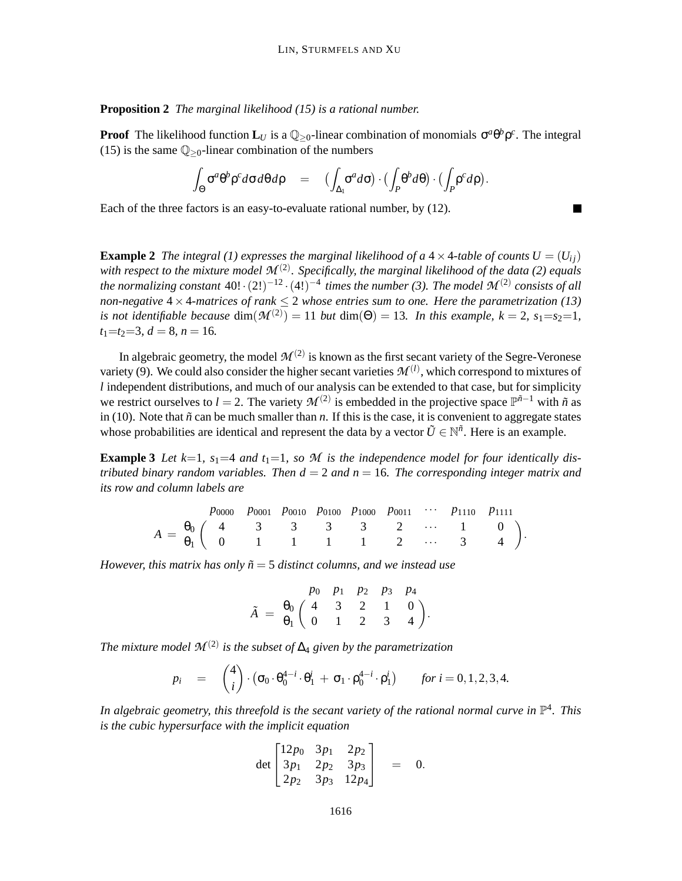**Proposition 2** *The marginal likelihood (15) is a rational number.*

**Proof** The likelihood function  $\mathbf{L}_U$  is a  $\mathbb{Q}_{\geq 0}$ -linear combination of monomials  $\sigma^a \theta^b \rho^c$ . The integral (15) is the same  $\mathbb{Q}_{\geq 0}$ -linear combination of the numbers

$$
\int_{\Theta} \sigma^a \theta^b \rho^c d\sigma d\theta d\rho = (\int_{\Delta_1} \sigma^a d\sigma) \cdot (\int_P \theta^b d\theta) \cdot (\int_P \rho^c d\rho).
$$

Each of the three factors is an easy-to-evaluate rational number, by (12).

**Example 2** *The integral (1) expresses the marginal likelihood of a*  $4 \times 4$ *-table of counts U* =  $(U_{ii})$ with respect to the mixture model  $\mathcal{M}^{(2)}$ . Specifically, the marginal likelihood of the data (2) equals *the normalizing constant*  $40! \cdot (2!)^{-12} \cdot (4!)^{-4}$  *times the number* (3). The model  $\mathcal{M}^{(2)}$  consists of all *non-negative* 4×4*-matrices of rank* ≤ 2 *whose entries sum to one. Here the parametrization (13) is not identifiable because*  $dim(\mathcal{M}^{(2)}) = 11$  *but*  $dim(\Theta) = 13$ *. In this example, k = 2, s*<sub>1</sub>=s<sub>2</sub>=1*,*  $t_1 = t_2 = 3, d = 8, n = 16.$ 

In algebraic geometry, the model  $\mathcal{M}^{(2)}$  is known as the first secant variety of the Segre-Veronese variety (9). We could also consider the higher secant varieties  $\mathcal{M}^{(l)}$ , which correspond to mixtures of *l* independent distributions, and much of our analysis can be extended to that case, but for simplicity we restrict ourselves to *l* = 2. The variety  $\mathcal{M}^{(2)}$  is embedded in the projective space  $\mathbb{P}^{\tilde{n}-1}$  with  $\tilde{n}$  as in (10). Note that  $\tilde{n}$  can be much smaller than  $n$ . If this is the case, it is convenient to aggregate states whose probabilities are identical and represent the data by a vector  $\tilde{U} \in \mathbb{N}^{\tilde{n}}$ . Here is an example.

**Example 3** Let  $k=1$ ,  $s_1=4$  and  $t_1=1$ , so M is the independence model for four identically dis*tributed binary random variables. Then*  $d = 2$  *and*  $n = 16$ *. The corresponding integer matrix and its row and column labels are*

|  |  |  |  | $p_{0000}$ $p_{0001}$ $p_{0010}$ $p_{0100}$ $p_{1000}$ $p_{0011}$ $p_{1110}$ $p_{1111}$ |                                                                                                                       |
|--|--|--|--|-----------------------------------------------------------------------------------------|-----------------------------------------------------------------------------------------------------------------------|
|  |  |  |  |                                                                                         |                                                                                                                       |
|  |  |  |  |                                                                                         | $A = \begin{pmatrix} 4 & 3 & 3 & 3 & 3 & 2 & \cdots & 1 & 0 \\ 0 & 1 & 1 & 1 & 1 & 2 & \cdots & 3 & 4 \end{pmatrix}.$ |

*However, this matrix has only*  $\tilde{n} = 5$  *distinct columns, and we instead use* 

$$
\tilde{A} = \begin{array}{cccccc} & p_0 & p_1 & p_2 & p_3 & p_4 \\ 0 & \begin{pmatrix} 4 & 3 & 2 & 1 & 0 \\ 0 & 1 & 2 & 3 & 4 \end{pmatrix} . \end{array}
$$

The mixture model  $\mathcal{M}^{(2)}$  is the subset of  $\Delta_4$  given by the parametrization

$$
p_i = {4 \choose i} \cdot (\sigma_0 \cdot \theta_0^{4-i} \cdot \theta_1^i + \sigma_1 \cdot \rho_0^{4-i} \cdot \rho_1^i) \quad \text{for } i = 0, 1, 2, 3, 4.
$$

In algebraic geometry, this threefold is the secant variety of the rational normal curve in  $\mathbb{P}^4$ . This *is the cubic hypersurface with the implicit equation*

$$
\det \begin{bmatrix} 12p_0 & 3p_1 & 2p_2 \\ 3p_1 & 2p_2 & 3p_3 \\ 2p_2 & 3p_3 & 12p_4 \end{bmatrix} = 0.
$$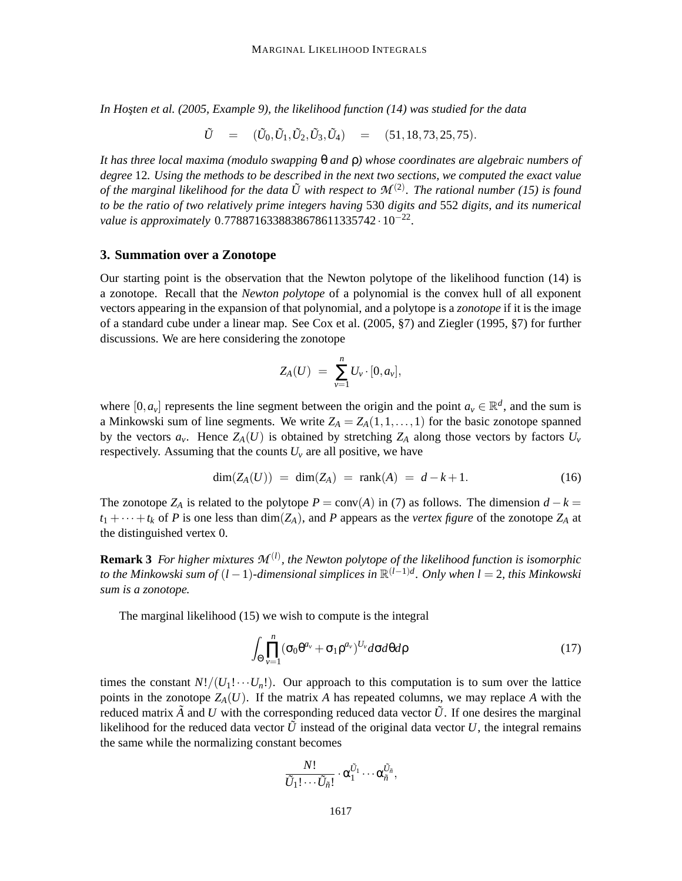In Hosten et al. (2005, Example 9), the likelihood function (14) was studied for the data

$$
\tilde{U} = (\tilde{U}_0, \tilde{U}_1, \tilde{U}_2, \tilde{U}_3, \tilde{U}_4) = (51, 18, 73, 25, 75).
$$

*It has three local maxima (modulo swapping* θ *and* ρ*) whose coordinates are algebraic numbers of degree* 12*. Using the methods to be described in the next two sections, we computed the exact value* of the marginal likelihood for the data  $\tilde{U}$  with respect to  $\mathcal{M}^{(2)}$ . The rational number (15) is found *to be the ratio of two relatively prime integers having* 530 *digits and* 552 *digits, and its numerical value is approximately* 0.7788716338838678611335742 · 10−<sup>22</sup> *.*

#### **3. Summation over a Zonotope**

Our starting point is the observation that the Newton polytope of the likelihood function (14) is a zonotope. Recall that the *Newton polytope* of a polynomial is the convex hull of all exponent vectors appearing in the expansion of that polynomial, and a polytope is a *zonotope* if it is the image of a standard cube under a linear map. See Cox et al. (2005, §7) and Ziegler (1995, §7) for further discussions. We are here considering the zonotope

$$
Z_A(U) = \sum_{\nu=1}^n U_{\nu} \cdot [0, a_{\nu}],
$$

where  $[0, a_v]$  represents the line segment between the origin and the point  $a_v \in \mathbb{R}^d$ , and the sum is a Minkowski sum of line segments. We write  $Z_A = Z_A(1,1,\ldots,1)$  for the basic zonotope spanned by the vectors  $a_v$ . Hence  $Z_A(U)$  is obtained by stretching  $Z_A$  along those vectors by factors  $U_v$ respectively. Assuming that the counts  $U<sub>v</sub>$  are all positive, we have

$$
\dim(Z_A(U)) = \dim(Z_A) = \text{rank}(A) = d - k + 1. \tag{16}
$$

The zonotope  $Z_A$  is related to the polytope  $P = \text{conv}(A)$  in (7) as follows. The dimension  $d - k =$  $t_1 + \cdots + t_k$  of *P* is one less than dim(*Z*<sub>*A*</sub>), and *P* appears as the *vertex figure* of the zonotope *Z*<sub>*A*</sub> at the distinguished vertex 0.

**Remark 3** *For higher mixtures M* (*l*) *, the Newton polytope of the likelihood function is isomorphic to the Minkowski sum of* (*l* −1)*-dimensional simplices in* R (*l*−1)*d . Only when l* = 2*, this Minkowski sum is a zonotope.*

The marginal likelihood (15) we wish to compute is the integral

$$
\int_{\Theta} \prod_{\nu=1}^{n} (\sigma_0 \theta^{a_{\nu}} + \sigma_1 \rho^{a_{\nu}})^{U_{\nu}} d\sigma d\theta d\rho
$$
\n(17)

times the constant  $N!/(U_1! \cdots U_n!)$ . Our approach to this computation is to sum over the lattice points in the zonotope  $Z_A(U)$ . If the matrix *A* has repeated columns, we may replace *A* with the reduced matrix  $\tilde{A}$  and *U* with the corresponding reduced data vector  $\tilde{U}$ . If one desires the marginal likelihood for the reduced data vector  $\tilde{U}$  instead of the original data vector  $U$ , the integral remains the same while the normalizing constant becomes

$$
\frac{N!}{\tilde{U}_1!\cdots \tilde{U}_{\tilde{n}}!}\cdot\alpha_1^{\tilde{U}_1}\cdots\alpha_{\tilde{n}}^{\tilde{U}_{\tilde{n}}},
$$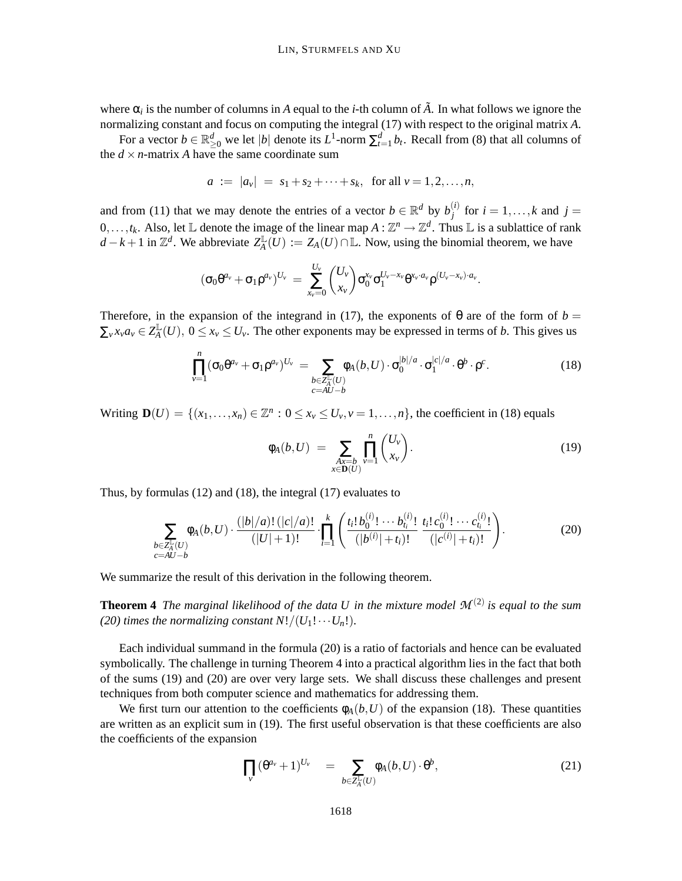where  $\alpha_i$  is the number of columns in *A* equal to the *i*-th column of  $\tilde{A}$ . In what follows we ignore the normalizing constant and focus on computing the integral (17) with respect to the original matrix *A*.

For a vector  $b \in \mathbb{R}^d_{\geq 0}$  we let  $|b|$  denote its  $L^1$ -norm  $\sum_{t=1}^d b_t$ . Recall from (8) that all columns of the  $d \times n$ -matrix *A* have the same coordinate sum

$$
a := |a_v| = s_1 + s_2 + \cdots + s_k
$$
, for all  $v = 1, 2, ..., n$ ,

and from (11) that we may denote the entries of a vector  $b \in \mathbb{R}^d$  by  $b_j^{(i)}$  $j_j^{(i)}$  for  $i = 1, \ldots, k$  and  $j =$  $0, \ldots, t_k$ . Also, let  $\mathbb L$  denote the image of the linear map  $A: \mathbb Z^n \to \mathbb Z^d$ . Thus  $\mathbb L$  is a sublattice of rank *d* − *k* + 1 in  $\mathbb{Z}^d$ . We abbreviate  $Z_A^{\mathbb{L}}$  $A^{\perp}_{A}(U) := Z_{A}(U) \cap \mathbb{L}$ . Now, using the binomial theorem, we have

$$
(\sigma_0 \theta^{a_v} + \sigma_1 \rho^{a_v})^{U_v} = \sum_{x_v=0}^{U_v} {U_v \choose x_v} \sigma_0^{x_v} \sigma_1^{U_v - x_v} \theta^{x_v \cdot a_v} \rho^{(U_v - x_v) \cdot a_v}.
$$

Therefore, in the expansion of the integrand in (17), the exponents of  $\theta$  are of the form of  $b =$  $\sum_{v} x_v a_v \in Z_A^{\mathbb{L}}$  $\frac{1}{4}$  (*U*), 0 ≤ *x*<sup>*v*</sup> ≤ *U<sub><i>v*</sub>. The other exponents may be expressed in terms of *b*. This gives us

$$
\prod_{\nu=1}^{n} (\sigma_0 \theta^{a_{\nu}} + \sigma_1 \rho^{a_{\nu}})^{U_{\nu}} = \sum_{\substack{b \in \mathbb{Z}_N^{\mathbb{L}}(U) \\ c = AU - b}} \phi_A(b, U) \cdot \sigma_0^{|b|/a} \cdot \sigma_1^{|c|/a} \cdot \theta^b \cdot \rho^c.
$$
\n(18)

Writing  $\mathbf{D}(U) = \{(x_1, \ldots, x_n) \in \mathbb{Z}^n : 0 \le x_\nu \le U_\nu, \nu = 1, \ldots, n\}$ , the coefficient in (18) equals

$$
\phi_A(b, U) = \sum_{\substack{Ax = b \\ x \in \mathbf{D}(U)}} \prod_{v=1}^n \binom{U_v}{x_v}.
$$
\n(19)

Thus, by formulas (12) and (18), the integral (17) evaluates to

$$
\sum_{\substack{b \in \mathbb{Z}_A^{\mathbb{L}}(U) \\ c = AU - b}} \phi_A(b, U) \cdot \frac{(|b|/a)! \, (|c|/a)!}{(|U|+1)!} \cdot \prod_{i=1}^k \left( \frac{t_i! \, b_0^{(i)}! \cdots b_{t_i}^{(i)}!}{(|b^{(i)}|+t_i)!} \, \frac{t_i! \, c_0^{(i)}! \cdots c_{t_i}^{(i)}!}{(|c^{(i)}|+t_i)!} \right). \tag{20}
$$

We summarize the result of this derivation in the following theorem.

**Theorem 4** *The marginal likelihood of the data U in the mixture model M* (2) *is equal to the sum (20) times the normalizing constant*  $N!/(U_1! \cdots U_n!)$ *.* 

Each individual summand in the formula (20) is a ratio of factorials and hence can be evaluated symbolically. The challenge in turning Theorem 4 into a practical algorithm lies in the fact that both of the sums (19) and (20) are over very large sets. We shall discuss these challenges and present techniques from both computer science and mathematics for addressing them.

We first turn our attention to the coefficients  $\phi_A(b, U)$  of the expansion (18). These quantities are written as an explicit sum in (19). The first useful observation is that these coefficients are also the coefficients of the expansion

$$
\prod_{v} (\theta^{a_v} + 1)^{U_v} = \sum_{b \in \mathbb{Z}_A^{\mathbb{L}}(U)} \phi_A(b, U) \cdot \theta^b, \tag{21}
$$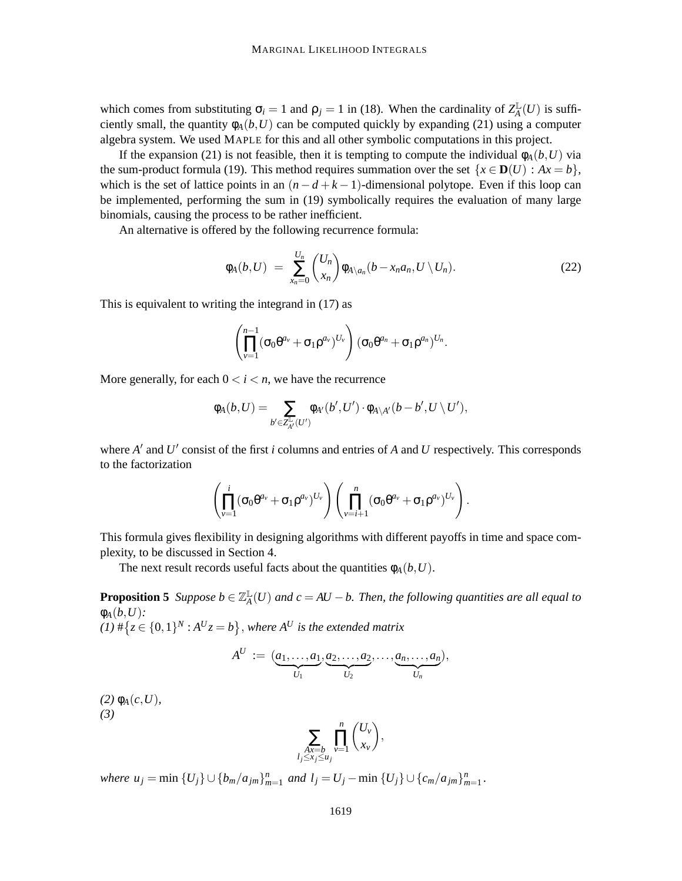which comes from substituting  $\sigma_i = 1$  and  $\rho_j = 1$  in (18). When the cardinality of  $Z_A^{\mathbb{L}}$  $^{\mathbb{L}}_{A}(U)$  is sufficiently small, the quantity  $\phi_A(b, U)$  can be computed quickly by expanding (21) using a computer algebra system. We used MAPLE for this and all other symbolic computations in this project.

If the expansion (21) is not feasible, then it is tempting to compute the individual  $\phi_A(b, U)$  via the sum-product formula (19). This method requires summation over the set  $\{x \in D(U) : Ax = b\}$ , which is the set of lattice points in an  $(n-d+k-1)$ -dimensional polytope. Even if this loop can be implemented, performing the sum in (19) symbolically requires the evaluation of many large binomials, causing the process to be rather inefficient.

An alternative is offered by the following recurrence formula:

$$
\phi_A(b, U) = \sum_{x_n=0}^{U_n} {U_n \choose x_n} \phi_{A \setminus a_n}(b - x_n a_n, U \setminus U_n).
$$
 (22)

This is equivalent to writing the integrand in (17) as

$$
\left(\prod_{\nu=1}^{n-1}(\sigma_0\theta^{a_{\nu}}+\sigma_1\rho^{a_{\nu}})^{U_{\nu}}\right)(\sigma_0\theta^{a_n}+\sigma_1\rho^{a_n})^{U_n}.
$$

More generally, for each  $0 < i < n$ , we have the recurrence

$$
\varphi_A(b,U)=\sum_{b'\in Z_{A'}^{\mathbb{L}}(U')}\varphi_{A'}(b',U')\cdot \varphi_{A\backslash A'}(b-b',U\setminus U'),
$$

where *A'* and *U'* consist of the first *i* columns and entries of *A* and *U* respectively. This corresponds to the factorization

$$
\left(\prod_{\nu=1}^i(\sigma_0\theta^{a_\nu}+\sigma_1\rho^{a_\nu})^{U_\nu}\right)\left(\prod_{\nu=i+1}^n(\sigma_0\theta^{a_\nu}+\sigma_1\rho^{a_\nu})^{U_\nu}\right).
$$

This formula gives flexibility in designing algorithms with different payoffs in time and space complexity, to be discussed in Section 4.

The next result records useful facts about the quantities  $\phi_A(b, U)$ .

**Proposition 5** *Suppose*  $b \in \mathbb{Z}_A^{\mathbb{L}}$ *A* (*U*) *and c* = *AU* −*b. Then, the following quantities are all equal to*  $\phi_A(b,U)$ :

$$
(1) \# \{ z \in \{0,1\}^N : A^U z = b \}, \text{ where } A^U \text{ is the extended matrix}
$$

$$
A^U := (\underbrace{a_1,\ldots,a_1}_{U_1}, \underbrace{a_2,\ldots,a_2}_{U_2},\ldots,\underbrace{a_n,\ldots,a_n}_{U_n}),
$$

*(2)*  $\phi_A(c, U)$ *, (3)*

$$
\sum_{\substack{Ax=b\\l_j\leq x_j\leq u_j}}\prod_{v=1}^n\binom{U_v}{x_v},
$$

where  $u_j = \min \{U_j\} \cup \{b_m/a_{jm}\}_{m=1}^n$  and  $l_j = U_j - \min \{U_j\} \cup \{c_m/a_{jm}\}_{m=1}^n$ .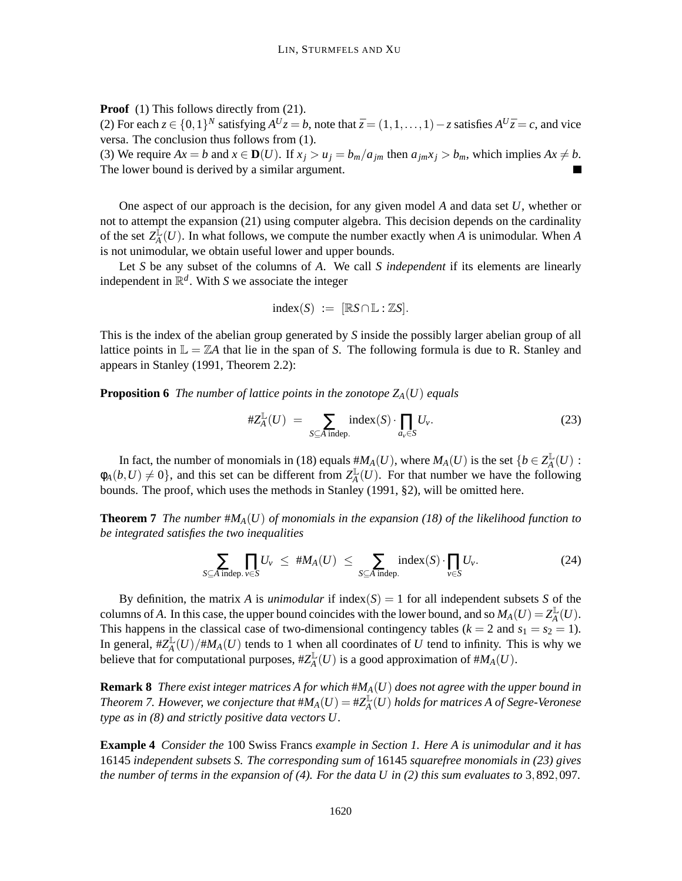**Proof** (1) This follows directly from (21).

(2) For each  $z \in \{0,1\}^N$  satisfying  $A^U z = b$ , note that  $\bar{z} = (1,1,\ldots,1) - z$  satisfies  $A^U \bar{z} = c$ , and vice versa. The conclusion thus follows from (1).

(3) We require  $Ax = b$  and  $x \in D(U)$ . If  $x_j > u_j = b_m/a_{jm}$  then  $a_{jm}x_j > b_m$ , which implies  $Ax \neq b$ . The lower bound is derived by a similar argument.

One aspect of our approach is the decision, for any given model *A* and data set *U*, whether or not to attempt the expansion (21) using computer algebra. This decision depends on the cardinality of the set  $Z_A^{\tilde{L}}$  $A(\mathcal{U})$ . In what follows, we compute the number exactly when *A* is unimodular. When *A* is not unimodular, we obtain useful lower and upper bounds.

Let *S* be any subset of the columns of *A*. We call *S independent* if its elements are linearly independent in R *d* . With *S* we associate the integer

$$
index(S) := [RS \cap \mathbb{L} : \mathbb{Z}S].
$$

This is the index of the abelian group generated by *S* inside the possibly larger abelian group of all lattice points in  $\mathbb{L} = \mathbb{Z}A$  that lie in the span of *S*. The following formula is due to R. Stanley and appears in Stanley (1991, Theorem 2.2):

**Proposition 6** *The number of lattice points in the zonotope*  $Z_A(U)$  *equals* 

$$
\#Z_A^{\mathbb{L}}(U) = \sum_{S \subseteq A \text{ indep.}} \text{index}(S) \cdot \prod_{a_v \in S} U_v. \tag{23}
$$

In fact, the number of monomials in (18) equals  $#M_A(U)$ , where  $M_A(U)$  is the set  $\{b \in Z_A^{\mathbb{L}}\}$  $_A^\mathbb{L}(U)$  :  $\phi_A(b, U) \neq 0$ , and this set can be different from  $Z_A^{\mathbb{L}}$  $A_{\text{A}}^{\text{L}}(U)$ . For that number we have the following bounds. The proof, which uses the methods in Stanley (1991, §2), will be omitted here.

**Theorem 7** *The number*  $#M_A(U)$  *of monomials in the expansion* (18) *of the likelihood function to be integrated satisfies the two inequalities*

$$
\sum_{S \subseteq A \text{ indep. } v \in S} \prod_{v \in S} U_v \leq #M_A(U) \leq \sum_{S \subseteq A \text{ indep.}} \text{index}(S) \cdot \prod_{v \in S} U_v. \tag{24}
$$

By definition, the matrix *A* is *unimodular* if index( $S$ ) = 1 for all independent subsets *S* of the columns of *A*. In this case, the upper bound coincides with the lower bound, and so  $M_A(U) = Z_A^{\mathbb{L}}$  $_A^{\mathbb{L}}(U).$ This happens in the classical case of two-dimensional contingency tables ( $k = 2$  and  $s_1 = s_2 = 1$ ). In general,  $\#Z_A^{\mathbb{L}}$  $\frac{d}{d}(U)/\#M_A(U)$  tends to 1 when all coordinates of *U* tend to infinity. This is why we believe that for computational purposes,  $\#Z_A^{\mathbb{L}}$  $A^{\perp}_{A}(U)$  is a good approximation of  $\#M_{A}(U)$ .

**Remark 8** *There exist integer matrices A for which* #*MA*(*U*) *does not agree with the upper bound in Theorem 7. However, we conjecture that*  $#M_A(U) = \#Z_A^{\mathbb{L}}$ *A* (*U*) *holds for matrices A of Segre-Veronese type as in (8) and strictly positive data vectors U.*

**Example 4** *Consider the* 100 Swiss Francs *example in Section 1. Here A is unimodular and it has* 16145 *independent subsets S. The corresponding sum of* 16145 *squarefree monomials in (23) gives the number of terms in the expansion of (4). For the data U in (2) this sum evaluates to* 3,892,097*.*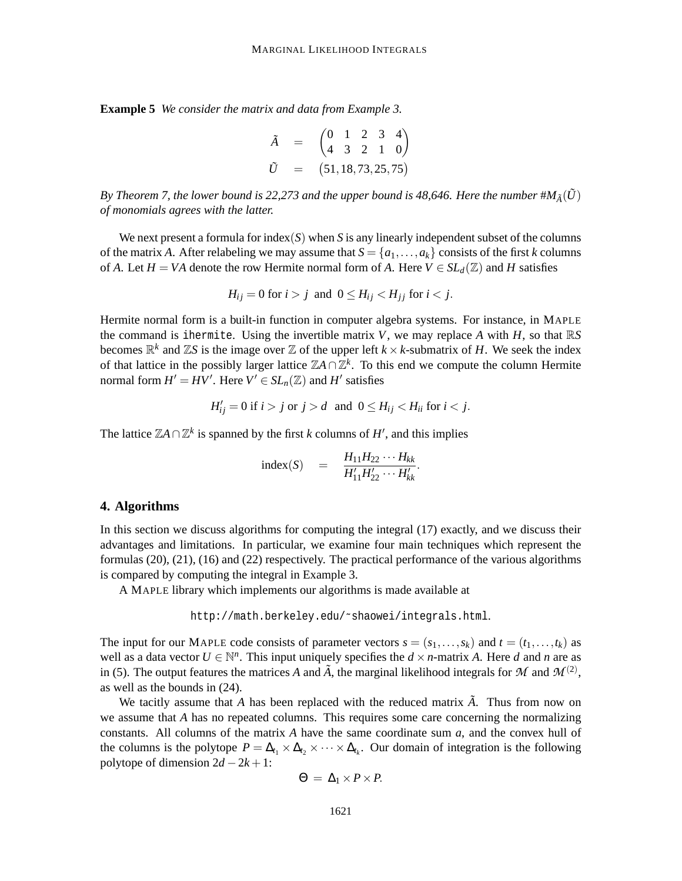**Example 5** *We consider the matrix and data from Example 3.*

$$
\begin{array}{rcl}\n\tilde{A} & = & \begin{pmatrix} 0 & 1 & 2 & 3 & 4 \\ 4 & 3 & 2 & 1 & 0 \end{pmatrix} \\
\tilde{U} & = & \begin{pmatrix} 51, 18, 73, 25, 75 \end{pmatrix}\n\end{array}
$$

*By Theorem 7, the lower bound is 22,273 and the upper bound is 48,646. Here the number*  $#M_{\tilde{A}}(\tilde{U})$ *of monomials agrees with the latter.*

We next present a formula for index(*S*) when *S* is any linearly independent subset of the columns of the matrix *A*. After relabeling we may assume that  $S = \{a_1, \ldots, a_k\}$  consists of the first *k* columns of *A*. Let  $H = VA$  denote the row Hermite normal form of *A*. Here  $V \in SL_d(\mathbb{Z})$  and *H* satisfies

$$
H_{ij} = 0 \text{ for } i > j \text{ and } 0 \le H_{ij} < H_{jj} \text{ for } i < j.
$$

Hermite normal form is a built-in function in computer algebra systems. For instance, in MAPLE the command is ihermite. Using the invertible matrix  $V$ , we may replace  $A$  with  $H$ , so that  $\mathbb{R}S$ becomes  $\mathbb{R}^k$  and  $\mathbb{Z}S$  is the image over  $\mathbb{Z}$  of the upper left  $k \times k$ -submatrix of *H*. We seek the index of that lattice in the possibly larger lattice  $\mathbb{Z} A \cap \mathbb{Z}^k$ . To this end we compute the column Hermite normal form  $H' = HV'$ . Here  $V' \in SL_n(\mathbb{Z})$  and  $H'$  satisfies

$$
H'_{ij} = 0 \text{ if } i > j \text{ or } j > d \text{ and } 0 \le H_{ij} < H_{ii} \text{ for } i < j.
$$

The lattice  $\mathbb{Z}A \cap \mathbb{Z}^k$  is spanned by the first *k* columns of *H*<sup>'</sup>, and this implies

index(S) = 
$$
\frac{H_{11}H_{22} \cdots H_{kk}}{H'_{11}H'_{22} \cdots H'_{kk}}.
$$

#### **4. Algorithms**

In this section we discuss algorithms for computing the integral (17) exactly, and we discuss their advantages and limitations. In particular, we examine four main techniques which represent the formulas (20), (21), (16) and (22) respectively. The practical performance of the various algorithms is compared by computing the integral in Example 3.

A MAPLE library which implements our algorithms is made available at

http://math.berkeley.edu/˜shaowei/integrals.html.

The input for our MAPLE code consists of parameter vectors  $s = (s_1, \ldots, s_k)$  and  $t = (t_1, \ldots, t_k)$  as well as a data vector  $U \in \mathbb{N}^n$ . This input uniquely specifies the  $d \times n$ -matrix A. Here d and n are as in (5). The output features the matrices *A* and  $\tilde{A}$ , the marginal likelihood integrals for *M* and  $\mathcal{M}^{(2)}$ , as well as the bounds in (24).

We tacitly assume that *A* has been replaced with the reduced matrix  $\vec{A}$ . Thus from now on we assume that *A* has no repeated columns. This requires some care concerning the normalizing constants. All columns of the matrix *A* have the same coordinate sum *a*, and the convex hull of the columns is the polytope  $P = \Delta_{t_1} \times \Delta_{t_2} \times \cdots \times \Delta_{t_k}$ . Our domain of integration is the following polytope of dimension  $2d - 2k + 1$ :

$$
\Theta = \Delta_1 \times P \times P.
$$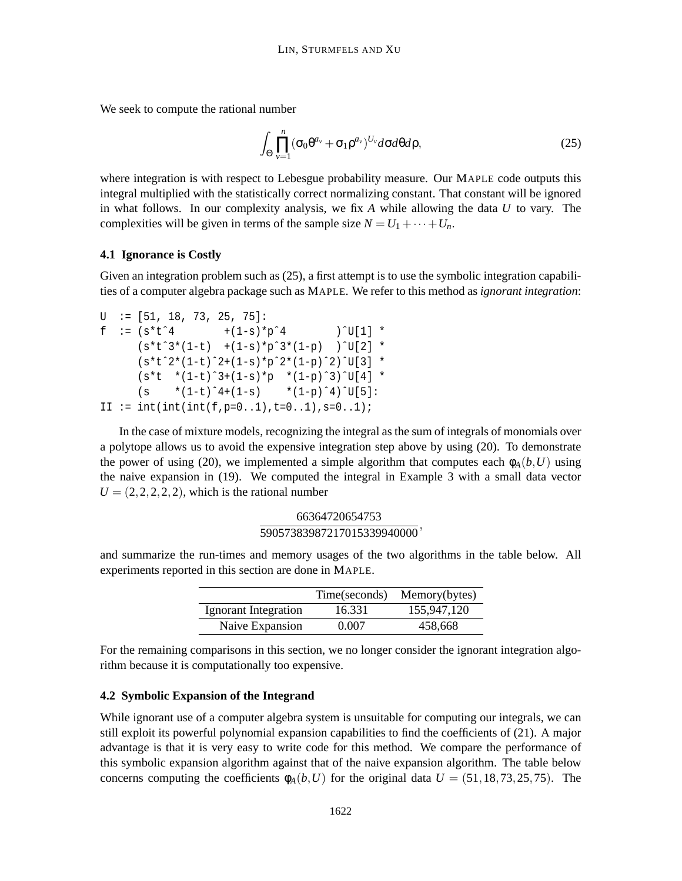We seek to compute the rational number

$$
\int_{\Theta} \prod_{v=1}^{n} (\sigma_0 \theta^{a_v} + \sigma_1 \rho^{a_v})^{U_v} d\sigma d\theta d\rho, \qquad (25)
$$

where integration is with respect to Lebesgue probability measure. Our MAPLE code outputs this integral multiplied with the statistically correct normalizing constant. That constant will be ignored in what follows. In our complexity analysis, we fix *A* while allowing the data *U* to vary. The complexities will be given in terms of the sample size  $N = U_1 + \cdots + U_n$ .

#### **4.1 Ignorance is Costly**

Given an integration problem such as (25), a first attempt is to use the symbolic integration capabilities of a computer algebra package such as MAPLE. We refer to this method as *ignorant integration*:

```
U := [51, 18, 73, 25, 75]:
f : = (s*t^4 + (1-s)*p^4) )<sup>^</sup>U[1] *
      (s*t^3*(1-t) + (1-s)*p^3*(1-p) )^U[2] *(s*tˆ2*(1-t)ˆ2+(1-s)*pˆ2*(1-p)ˆ2)ˆU[3] *
      (s*t * (1-t)^3+(1-s)*p * (1-p)^3)`U[4] *
      (s * (1-t)^4 + (1-s) * (1-p)^4)<sup>'U[5]</sub>:</sup>
II := int(int(f,p=0..1),t=0..1),s=0..1);
```
In the case of mixture models, recognizing the integral as the sum of integrals of monomials over a polytope allows us to avoid the expensive integration step above by using (20). To demonstrate the power of using (20), we implemented a simple algorithm that computes each  $\phi_A(b, U)$  using the naive expansion in (19). We computed the integral in Example 3 with a small data vector  $U = (2, 2, 2, 2, 2)$ , which is the rational number

$$
\frac{66364720654753}{59057383987217015339940000},
$$

and summarize the run-times and memory usages of the two algorithms in the table below. All experiments reported in this section are done in MAPLE.

|                      | Time(seconds) | Memory(bytes) |
|----------------------|---------------|---------------|
| Ignorant Integration | 16.331        | 155,947,120   |
| Naive Expansion      | 0.007         | 458,668       |

For the remaining comparisons in this section, we no longer consider the ignorant integration algorithm because it is computationally too expensive.

# **4.2 Symbolic Expansion of the Integrand**

While ignorant use of a computer algebra system is unsuitable for computing our integrals, we can still exploit its powerful polynomial expansion capabilities to find the coefficients of (21). A major advantage is that it is very easy to write code for this method. We compare the performance of this symbolic expansion algorithm against that of the naive expansion algorithm. The table below concerns computing the coefficients  $\phi_A(b, U)$  for the original data  $U = (51, 18, 73, 25, 75)$ . The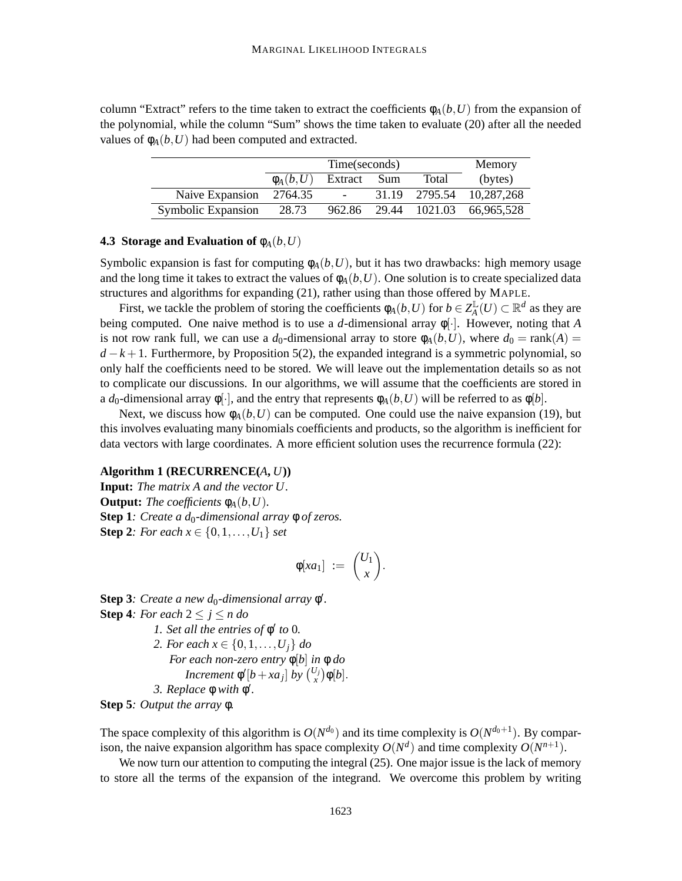column "Extract" refers to the time taken to extract the coefficients  $\phi_A(b, U)$  from the expansion of the polynomial, while the column "Sum" shows the time taken to evaluate (20) after all the needed values of  $\phi_A(b, U)$  had been computed and extracted.

|                    |               | Memory                   |       |                          |
|--------------------|---------------|--------------------------|-------|--------------------------|
|                    | $\phi_A(b,U)$ | Extract Sum              | Total | (bytes)                  |
| Naive Expansion    | 2764.35       | $\overline{\phantom{a}}$ |       | 31.19 2795.54 10,287,268 |
| Symbolic Expansion | 28.73         | 962.86                   |       | 29.44 1021.03 66,965,528 |

# **4.3 Storage and Evaluation of**  $\phi_A(b, U)$

Symbolic expansion is fast for computing  $\phi_A(b, U)$ , but it has two drawbacks: high memory usage and the long time it takes to extract the values of  $\phi_A(b, U)$ . One solution is to create specialized data structures and algorithms for expanding (21), rather using than those offered by MAPLE.

First, we tackle the problem of storing the coefficients  $\phi_A(b, U)$  for  $b \in Z_A^{\mathbb{L}}$  $^{\mathbb{L}}_{A}(U)$  ⊂  $\mathbb{R}^{d}$  as they are being computed. One naive method is to use a *d*-dimensional array φ[·]. However, noting that *A* is not row rank full, we can use a  $d_0$ -dimensional array to store  $\phi_A(b, U)$ , where  $d_0 = \text{rank}(A)$  $d - k + 1$ . Furthermore, by Proposition 5(2), the expanded integrand is a symmetric polynomial, so only half the coefficients need to be stored. We will leave out the implementation details so as not to complicate our discussions. In our algorithms, we will assume that the coefficients are stored in a  $d_0$ -dimensional array  $\phi[\cdot]$ , and the entry that represents  $\phi_A(b, U)$  will be referred to as  $\phi[b]$ .

Next, we discuss how  $\phi_A(b, U)$  can be computed. One could use the naive expansion (19), but this involves evaluating many binomials coefficients and products, so the algorithm is inefficient for data vectors with large coordinates. A more efficient solution uses the recurrence formula (22):

### **Algorithm 1 (RECURRENCE(***A***,** *U***))**

**Input:** *The matrix A and the vector U.* **Output:** *The coefficients*  $\phi_A(b, U)$ *.* **Step 1***: Create a d*0*-dimensional array* φ *of zeros.* **Step 2***: For each*  $x \in \{0, 1, ..., U_1\}$  *set* 

$$
\phi[xa_1] := \binom{U_1}{x}.
$$

**Step 3***: Create a new d*<sub>0</sub>-dimensional array φ'.

**Step 4**: For each 
$$
2 \leq j \leq n
$$
 do

*1. Set all the entries of* φ ′ *to* 0*.*

*2. For each x* ∈ {0,1,...,*Uj*} *do For each non-zero entry* φ[*b*] *in* φ *do Increment*  $\phi'[b + xa_j]$  *by*  $\binom{U_j}{x}\phi[b]$ . *3. Replace* φ *with* φ ′ *.*

**Step 5***: Output the array* φ*.*

The space complexity of this algorithm is  $O(N^{d_0})$  and its time complexity is  $O(N^{d_0+1})$ . By comparison, the naive expansion algorithm has space complexity  $O(N^d)$  and time complexity  $O(N^{n+1})$ .

We now turn our attention to computing the integral (25). One major issue is the lack of memory to store all the terms of the expansion of the integrand. We overcome this problem by writing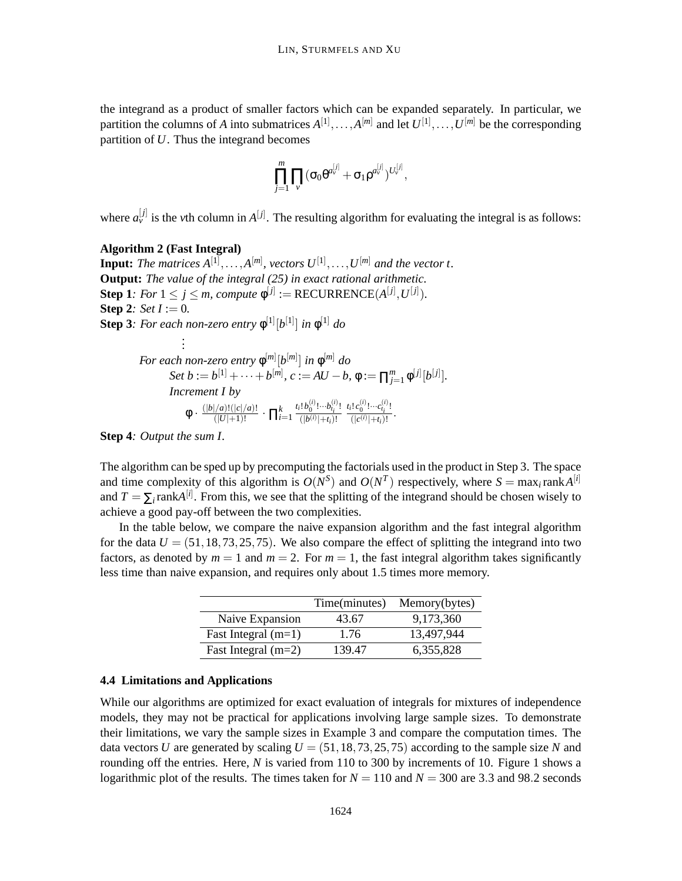the integrand as a product of smaller factors which can be expanded separately. In particular, we partition the columns of *A* into submatrices  $A^{[1]}, \ldots, A^{[m]}$  and let  $U^{[1]}, \ldots, U^{[m]}$  be the corresponding partition of *U*. Thus the integrand becomes

$$
\prod_{j=1}^m\prod_{\nu}(\sigma_0\theta^{a_{\nu}^{[j]}}+\sigma_1\rho^{a_{\nu}^{[j]}})^{U_{\nu}^{[j]}},
$$

where  $a_{\nu}^{[j]}$  is the *v*th column in  $A^{[j]}$ . The resulting algorithm for evaluating the integral is as follows:

#### **Algorithm 2 (Fast Integral)**

**Input:** The matrices  $A^{[1]}, \ldots, A^{[m]}$ , vectors  $U^{[1]}, \ldots, U^{[m]}$  and the vector t. **Output:** *The value of the integral (25) in exact rational arithmetic.* **Step 1***: For*  $1 \leq j \leq m$ , *compute*  $\phi^{[j]} := \text{RECURRENCE}(A^{[j]}, U^{[j]})$ *.* **Step 2***: Set I* := 0*.* **Step 3***: For each non-zero entry*  $\phi^{[1]}[b^{[1]}]$  *in*  $\phi^{[1]}$  *do . .*

$$
\begin{aligned}\n\text{For each non-zero entry } \phi^{[m]}[b^{[m]}] \text{ in } \phi^{[m]} \text{ do} \\
\text{Set } b &:= b^{[1]} + \dots + b^{[m]}, \text{ } c := AU - b, \text{ } \phi := \prod_{j=1}^{m} \phi^{[j]}[b^{[j]}]. \\
\text{Increment } I \text{ by} \\
\phi \cdot \frac{(|b|/a)!(|c|/a)!}{(|U|+1)!} \cdot \prod_{i=1}^{k} \frac{t_i! b_0^{(i)}! \cdots b_{i_i}^{(i)}!}{(|b^{(i)}|+t_i)!} \frac{t_i! c_0^{(i)}! \cdots c_{i_i}^{(i)}!}{(|c^{(i)}|+t_i)!}.\n\end{aligned}
$$

**Step 4***: Output the sum I.*

The algorithm can be sped up by precomputing the factorials used in the product in Step 3. The space and time complexity of this algorithm is  $O(N^S)$  and  $O(N^T)$  respectively, where  $S = \max_i \text{rank } A^{[i]}$ and  $T = \sum_i \text{rank} A^{[i]}$ . From this, we see that the splitting of the integrand should be chosen wisely to achieve a good pay-off between the two complexities.

In the table below, we compare the naive expansion algorithm and the fast integral algorithm for the data  $U = (51, 18, 73, 25, 75)$ . We also compare the effect of splitting the integrand into two factors, as denoted by  $m = 1$  and  $m = 2$ . For  $m = 1$ , the fast integral algorithm takes significantly less time than naive expansion, and requires only about 1.5 times more memory.

|                       | Time(minutes) | Memory(bytes) |
|-----------------------|---------------|---------------|
| Naive Expansion       | 43.67         | 9,173,360     |
| Fast Integral $(m=1)$ | 1.76          | 13.497.944    |
| Fast Integral $(m=2)$ | 139.47        | 6,355,828     |

# **4.4 Limitations and Applications**

While our algorithms are optimized for exact evaluation of integrals for mixtures of independence models, they may not be practical for applications involving large sample sizes. To demonstrate their limitations, we vary the sample sizes in Example 3 and compare the computation times. The data vectors *U* are generated by scaling  $U = (51, 18, 73, 25, 75)$  according to the sample size *N* and rounding off the entries. Here, *N* is varied from 110 to 300 by increments of 10. Figure 1 shows a logarithmic plot of the results. The times taken for  $N = 110$  and  $N = 300$  are 3.3 and 98.2 seconds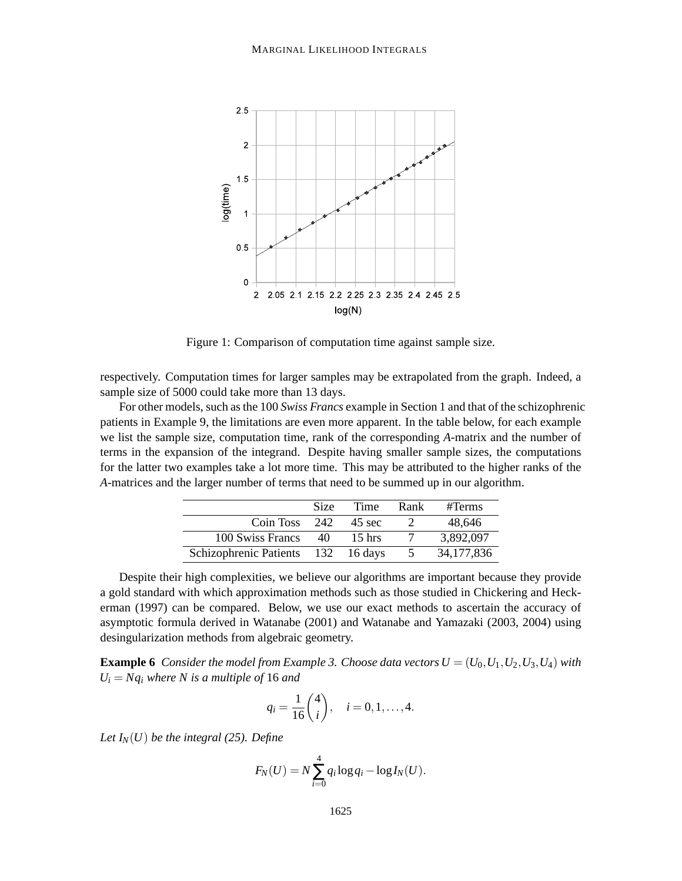

Figure 1: Comparison of computation time against sample size.

respectively. Computation times for larger samples may be extrapolated from the graph. Indeed, a sample size of 5000 could take more than 13 days.

For other models, such as the 100 *Swiss Francs* example in Section 1 and that of the schizophrenic patients in Example 9, the limitations are even more apparent. In the table below, for each example we list the sample size, computation time, rank of the corresponding *A*-matrix and the number of terms in the expansion of the integrand. Despite having smaller sample sizes, the computations for the latter two examples take a lot more time. This may be attributed to the higher ranks of the *A*-matrices and the larger number of terms that need to be summed up in our algorithm.

|                            | <b>Size</b> | Time     | Rank | #Terms       |
|----------------------------|-------------|----------|------|--------------|
| Coin Toss $242$            |             | 45 sec   |      | 48,646       |
| 100 Swiss Francs           | 40          | $15$ hrs |      | 3,892,097    |
| Schizophrenic Patients 132 |             | 16 days  |      | 34, 177, 836 |

Despite their high complexities, we believe our algorithms are important because they provide a gold standard with which approximation methods such as those studied in Chickering and Heckerman (1997) can be compared. Below, we use our exact methods to ascertain the accuracy of asymptotic formula derived in Watanabe (2001) and Watanabe and Yamazaki (2003, 2004) using desingularization methods from algebraic geometry.

**Example 6** *Consider the model from Example 3. Choose data vectors*  $U = (U_0, U_1, U_2, U_3, U_4)$  *with*  $U_i = Nq_i$  *where N is a multiple of* 16 *and* 

$$
q_i = \frac{1}{16} {4 \choose i}, \quad i = 0, 1, ..., 4.
$$

*Let*  $I_N(U)$  *be the integral (25). Define* 

$$
F_N(U) = N \sum_{i=0}^4 q_i \log q_i - \log I_N(U).
$$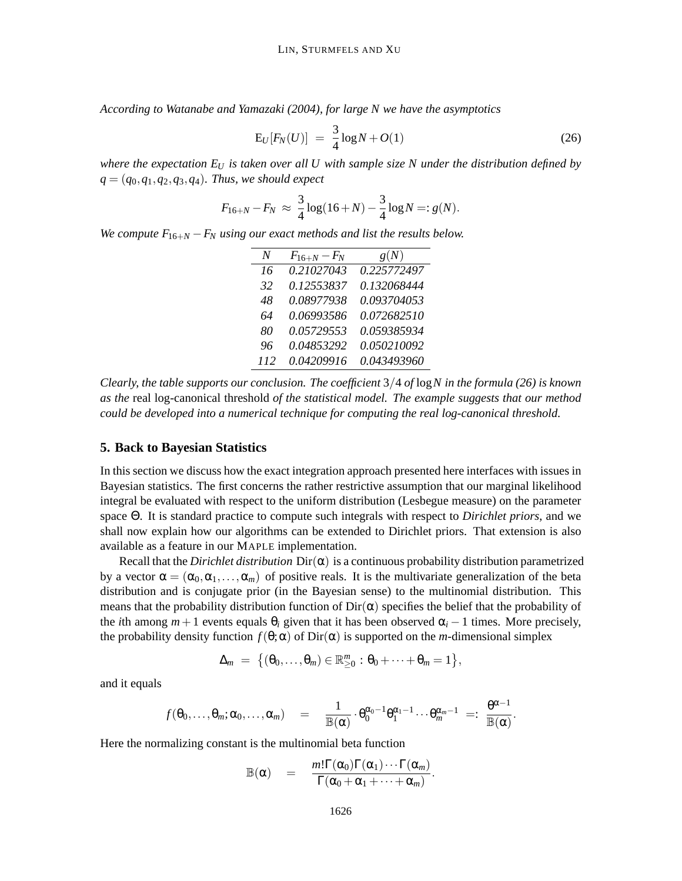*According to Watanabe and Yamazaki (2004), for large N we have the asymptotics*

$$
E_U[F_N(U)] = \frac{3}{4}\log N + O(1)
$$
\n(26)

*where the expectation E<sup>U</sup> is taken over all U with sample size N under the distribution defined by*  $q = (q_0, q_1, q_2, q_3, q_4)$ *. Thus, we should expect* 

$$
F_{16+N} - F_N \approx \frac{3}{4} \log(16+N) - \frac{3}{4} \log N =: g(N).
$$

*We compute*  $F_{16+N} - F_N$  *using our exact methods and list the results below.* 

| N   | $F_{16+N} - F_N$ | g(N)        |
|-----|------------------|-------------|
| 16  | 0.21027043       | 0.225772497 |
| 32  | 0.12553837       | 0.132068444 |
| 48  | 0.08977938       | 0.093704053 |
| 64  | 0.06993586       | 0.072682510 |
| 80  | 0.05729553       | 0.059385934 |
| 96  | 0.04853292       | 0.050210092 |
| 112 | 0.04209916       | 0.043493960 |

*Clearly, the table supports our conclusion. The coefficient* 3/4 *of* log*N in the formula (26) is known as the* real log-canonical threshold *of the statistical model. The example suggests that our method could be developed into a numerical technique for computing the real log-canonical threshold.*

# **5. Back to Bayesian Statistics**

In this section we discuss how the exact integration approach presented here interfaces with issues in Bayesian statistics. The first concerns the rather restrictive assumption that our marginal likelihood integral be evaluated with respect to the uniform distribution (Lesbegue measure) on the parameter space Θ. It is standard practice to compute such integrals with respect to *Dirichlet priors*, and we shall now explain how our algorithms can be extended to Dirichlet priors. That extension is also available as a feature in our MAPLE implementation.

Recall that the *Dirichlet distribution*  $Dir(\alpha)$  is a continuous probability distribution parametrized by a vector  $\alpha = (\alpha_0, \alpha_1, \dots, \alpha_m)$  of positive reals. It is the multivariate generalization of the beta distribution and is conjugate prior (in the Bayesian sense) to the multinomial distribution. This means that the probability distribution function of  $Dir(\alpha)$  specifies the belief that the probability of the *i*th among  $m+1$  events equals  $\theta_i$  given that it has been observed  $\alpha_i - 1$  times. More precisely, the probability density function  $f(\theta; \alpha)$  of Dir( $\alpha$ ) is supported on the *m*-dimensional simplex

$$
\Delta_m = \{(\theta_0,\ldots,\theta_m) \in \mathbb{R}_{\geq 0}^m : \theta_0 + \cdots + \theta_m = 1\},\
$$

and it equals

$$
f(\theta_0,\ldots,\theta_m;\alpha_0,\ldots,\alpha_m) \quad = \quad \frac{1}{\mathbb{B}(\alpha)} \cdot \theta_0^{\alpha_0-1} \theta_1^{\alpha_1-1} \cdots \theta_m^{\alpha_m-1} \ =: \ \frac{\theta^{\alpha-1}}{\mathbb{B}(\alpha)}.
$$

Here the normalizing constant is the multinomial beta function

$$
\mathbb{B}(\alpha) = \frac{m!\Gamma(\alpha_0)\Gamma(\alpha_1)\cdots\Gamma(\alpha_m)}{\Gamma(\alpha_0+\alpha_1+\cdots+\alpha_m)}.
$$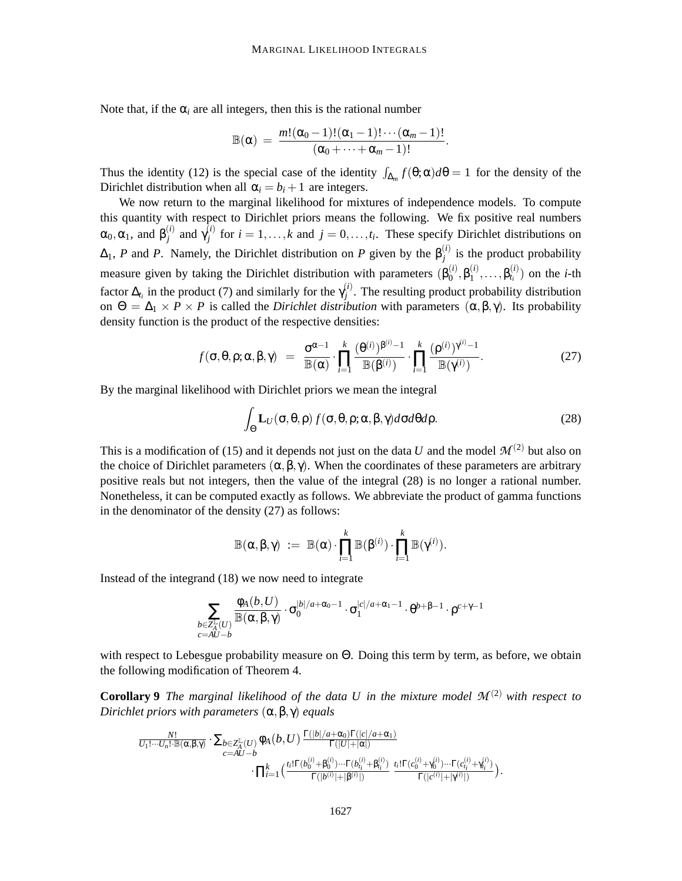Note that, if the  $\alpha_i$  are all integers, then this is the rational number

$$
\mathbb{B}(\alpha) = \frac{m!(\alpha_0-1)!(\alpha_1-1)!\cdots(\alpha_m-1)!}{(\alpha_0+\cdots+\alpha_m-1)!}.
$$

Thus the identity (12) is the special case of the identity  $\int_{\Delta_m} f(\theta; \alpha) d\theta = 1$  for the density of the Dirichlet distribution when all  $\alpha_i = b_i + 1$  are integers.

We now return to the marginal likelihood for mixtures of independence models. To compute this quantity with respect to Dirichlet priors means the following. We fix positive real numbers  $\alpha_0, \alpha_1$ , and  $\beta_i^{(i)}$  $\gamma_j^{(i)}$  and  $\gamma_j^{(i)}$ *i*<sup>*j*</sup> for  $i = 1, ..., k$  and  $j = 0, ..., t_i$ . These specify Dirichlet distributions on  $\Delta_1$ , *P* and *P*. Namely, the Dirichlet distribution on *P* given by the  $\beta_j^{(i)}$  $j_j^{(l)}$  is the product probability measure given by taking the Dirichlet distribution with parameters  $(\beta_0^{(i)})$  $_{0}^{(i)}, \beta_{1}^{(i)}$  $\mathcal{B}_{t_i}^{(i)}, \ldots, \mathcal{B}_{t_i}^{(i)}$  $t_i^{(i)}$  on the *i*-th factor  $\Delta_{t_i}$  in the product (7) and similarly for the  $\gamma_i^{(i)}$  $j^{(l)}$ . The resulting product probability distribution on  $\Theta = \Delta_1 \times P \times P$  is called the *Dirichlet distribution* with parameters  $(\alpha, \beta, \gamma)$ . Its probability density function is the product of the respective densities:

$$
f(\sigma,\theta,\rho;\alpha,\beta,\gamma) = \frac{\sigma^{\alpha-1}}{\mathbb{B}(\alpha)} \cdot \prod_{i=1}^k \frac{(\theta^{(i)})^{\beta^{(i)}-1}}{\mathbb{B}(\beta^{(i)})} \cdot \prod_{i=1}^k \frac{(\rho^{(i)})^{\gamma^{(i)}-1}}{\mathbb{B}(\gamma^{(i)})}.
$$
 (27)

By the marginal likelihood with Dirichlet priors we mean the integral

$$
\int_{\Theta} \mathbf{L}_U(\sigma, \theta, \rho) f(\sigma, \theta, \rho; \alpha, \beta, \gamma) d\sigma d\theta d\rho.
$$
\n(28)

This is a modification of (15) and it depends not just on the data *U* and the model  $\mathcal{M}^{(2)}$  but also on the choice of Dirichlet parameters  $(\alpha, \beta, \gamma)$ . When the coordinates of these parameters are arbitrary positive reals but not integers, then the value of the integral (28) is no longer a rational number. Nonetheless, it can be computed exactly as follows. We abbreviate the product of gamma functions in the denominator of the density (27) as follows:

$$
\mathbb{B}(\alpha,\beta,\gamma) \ := \ \mathbb{B}(\alpha) \cdot \prod_{i=1}^k \mathbb{B}(\beta^{(i)}) \cdot \prod_{i=1}^k \mathbb{B}(\gamma^{(i)}).
$$

Instead of the integrand (18) we now need to integrate

$$
\sum_{\substack{b \in \mathbb{Z}_A^{\mathbb{L}}(U) \\ c = A U - b}} \frac{\varphi_A(b,U)}{\mathbb{B}(\alpha,\beta,\gamma)} \cdot \sigma_0^{|b|/a+\alpha_0-1} \cdot \sigma_1^{|c|/a+\alpha_1-1} \cdot \theta^{b+\beta-1} \cdot \rho^{c+\gamma-1}
$$

with respect to Lebesgue probability measure on Θ. Doing this term by term, as before, we obtain the following modification of Theorem 4.

**Corollary 9** *The marginal likelihood of the data U in the mixture model*  $\mathcal{M}^{(2)}$  *with respect to Dirichlet priors with parameters* (α,β, γ) *equals*

$$
\frac{\frac{N!}{U_1!\cdots U_n!\cdot \mathbb{B}(\alpha,\beta,\gamma)}\cdot\sum_{b\in Z_A^\mathbb{L}(U)}\varphi_A\big(b,U\big)\,\frac{\Gamma(|b|/a+\alpha_0)\Gamma(|c|/a+\alpha_1)}{\Gamma(|U|+|\alpha|)}\\\cdot \prod_{i=1}^k\big(\frac{\iota_i!\Gamma(b_0^{(i)}+\beta_0^{(i)})\cdots\Gamma(b_i^{(i)}+\beta_i^{(i)})}{\Gamma(|b^{(i)}|+|\beta^{(i)}|)}\,\,\frac{\iota_i!\Gamma(c_0^{(i)}+\gamma_0^{(i)})\cdots\Gamma(c_{i_i}^{(i)}+\gamma_{i_i}^{(i)})}{\Gamma(|c^{(i)}|+|\gamma^{(i)}|)}\big).
$$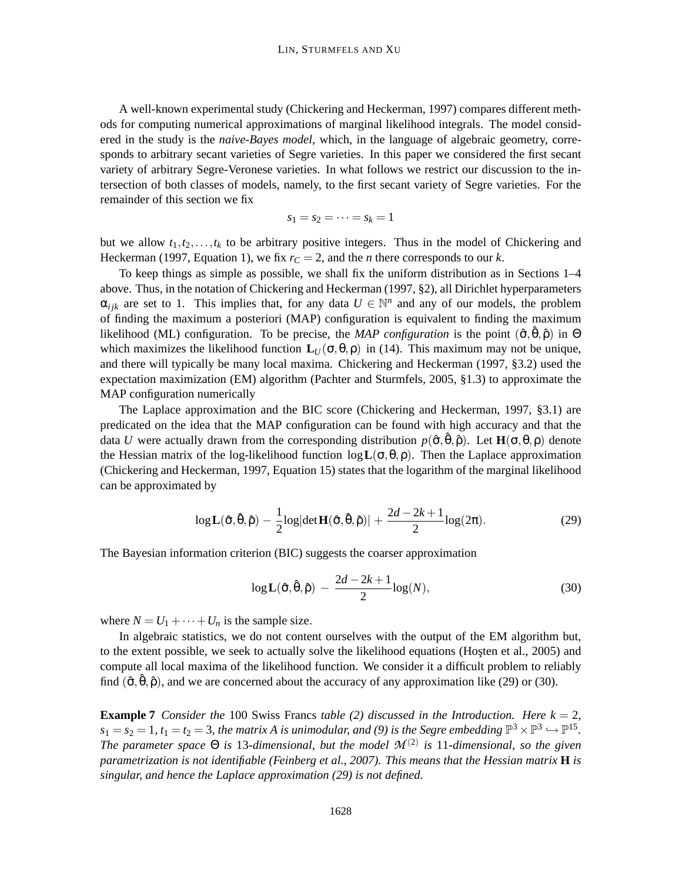A well-known experimental study (Chickering and Heckerman, 1997) compares different methods for computing numerical approximations of marginal likelihood integrals. The model considered in the study is the *naive-Bayes model*, which, in the language of algebraic geometry, corresponds to arbitrary secant varieties of Segre varieties. In this paper we considered the first secant variety of arbitrary Segre-Veronese varieties. In what follows we restrict our discussion to the intersection of both classes of models, namely, to the first secant variety of Segre varieties. For the remainder of this section we fix

$$
s_1=s_2=\cdots=s_k=1
$$

but we allow  $t_1, t_2, \ldots, t_k$  to be arbitrary positive integers. Thus in the model of Chickering and Heckerman (1997, Equation 1), we fix  $r<sub>C</sub> = 2$ , and the *n* there corresponds to our *k*.

To keep things as simple as possible, we shall fix the uniform distribution as in Sections 1–4 above. Thus, in the notation of Chickering and Heckerman (1997, §2), all Dirichlet hyperparameters  $\alpha_{ijk}$  are set to 1. This implies that, for any data  $U \in \mathbb{N}^n$  and any of our models, the problem of finding the maximum a posteriori (MAP) configuration is equivalent to finding the maximum likelihood (ML) configuration. To be precise, the *MAP configuration* is the point  $(\hat{\sigma}, \hat{\theta}, \hat{\rho})$  in  $\Theta$ which maximizes the likelihood function  $\mathbf{L}_U(\sigma,\theta,\rho)$  in (14). This maximum may not be unique, and there will typically be many local maxima. Chickering and Heckerman (1997, §3.2) used the expectation maximization (EM) algorithm (Pachter and Sturmfels, 2005, §1.3) to approximate the MAP configuration numerically

The Laplace approximation and the BIC score (Chickering and Heckerman, 1997, §3.1) are predicated on the idea that the MAP configuration can be found with high accuracy and that the data *U* were actually drawn from the corresponding distribution  $p(\hat{\sigma}, \hat{\theta}, \hat{\rho})$ . Let  $H(\sigma, \theta, \rho)$  denote the Hessian matrix of the log-likelihood function  $\log L(\sigma, \theta, \rho)$ . Then the Laplace approximation (Chickering and Heckerman, 1997, Equation 15) states that the logarithm of the marginal likelihood can be approximated by

$$
\log \mathbf{L}(\hat{\sigma}, \hat{\theta}, \hat{\rho}) - \frac{1}{2} \log |\det \mathbf{H}(\hat{\sigma}, \hat{\theta}, \hat{\rho})| + \frac{2d - 2k + 1}{2} \log(2\pi).
$$
 (29)

The Bayesian information criterion (BIC) suggests the coarser approximation

$$
\log \mathbf{L}(\hat{\sigma}, \hat{\theta}, \hat{\rho}) - \frac{2d - 2k + 1}{2} \log(N), \tag{30}
$$

where  $N = U_1 + \cdots + U_n$  is the sample size.

In algebraic statistics, we do not content ourselves with the output of the EM algorithm but, to the extent possible, we seek to actually solve the likelihood equations (Hosten et al., 2005) and compute all local maxima of the likelihood function. We consider it a difficult problem to reliably find  $(\hat{\sigma}, \hat{\theta}, \hat{\rho})$ , and we are concerned about the accuracy of any approximation like (29) or (30).

**Example 7** *Consider the* 100 Swiss Francs *table* (2) discussed in the Introduction. Here  $k = 2$ ,  $s_1 = s_2 = 1$ ,  $t_1 = t_2 = 3$ , the matrix A is unimodular, and (9) is the Segre embedding  $\mathbb{P}^3 \times \mathbb{P}^3 \hookrightarrow \mathbb{P}^{15}$ . *The parameter space* Θ *is* 13*-dimensional, but the model M* (2) *is* 11*-dimensional, so the given parametrization is not identifiable (Feinberg et al., 2007). This means that the Hessian matrix* **H** *is singular, and hence the Laplace approximation (29) is not defined.*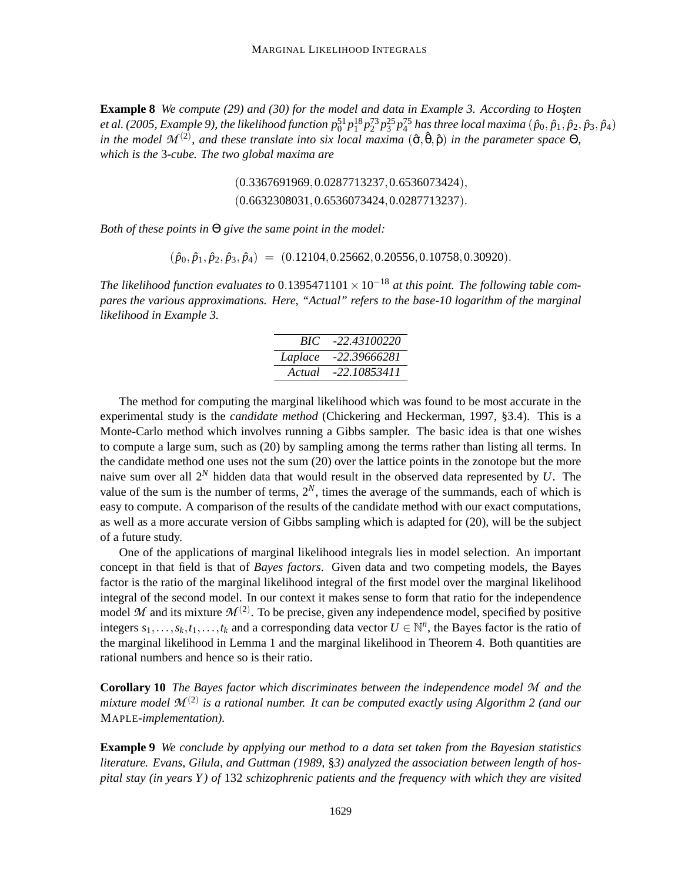**Example 8** *We compute (29) and (30) for the model and data in Example 3. According to Hosten* et al. (2005, Example 9), the likelihood function  $p_0^{51}p_1^{18}p_2^{73}p_3^{25}p_4^{75}$  has three local maxima  $(\hat p_0,\hat p_1,\hat p_2,\hat p_3,\hat p_4)$ in the model  $\mathcal{M}^{(2)}$ , and these translate into six local maxima  $(\hat{\sigma}, \hat{\theta}, \hat{\rho})$  in the parameter space  $\Theta$ , *which is the* 3*-cube. The two global maxima are*

> (0.3367691969,0.0287713237,0.6536073424), (0.6632308031,0.6536073424,0.0287713237).

*Both of these points in* Θ *give the same point in the model:*

 $(\hat{p}_0, \hat{p}_1, \hat{p}_2, \hat{p}_3, \hat{p}_4) = (0.12104, 0.25662, 0.20556, 0.10758, 0.30920).$ 

*The likelihood function evaluates to* 0.1395471101  $\times$  10<sup>-18</sup> *at this point. The following table compares the various approximations. Here, "Actual" refers to the base-10 logarithm of the marginal likelihood in Example 3.*

| BIC     | $-22.43100220$ |
|---------|----------------|
| Laplace | -22.39666281   |
| Actual  | -22.10853411   |

The method for computing the marginal likelihood which was found to be most accurate in the experimental study is the *candidate method* (Chickering and Heckerman, 1997, §3.4). This is a Monte-Carlo method which involves running a Gibbs sampler. The basic idea is that one wishes to compute a large sum, such as (20) by sampling among the terms rather than listing all terms. In the candidate method one uses not the sum (20) over the lattice points in the zonotope but the more naive sum over all 2*<sup>N</sup>* hidden data that would result in the observed data represented by *U*. The value of the sum is the number of terms,  $2^N$ , times the average of the summands, each of which is easy to compute. A comparison of the results of the candidate method with our exact computations, as well as a more accurate version of Gibbs sampling which is adapted for (20), will be the subject of a future study.

One of the applications of marginal likelihood integrals lies in model selection. An important concept in that field is that of *Bayes factors*. Given data and two competing models, the Bayes factor is the ratio of the marginal likelihood integral of the first model over the marginal likelihood integral of the second model. In our context it makes sense to form that ratio for the independence model  $M$  and its mixture  $M^{(2)}$ . To be precise, given any independence model, specified by positive integers  $s_1, \ldots, s_k, t_1, \ldots, t_k$  and a corresponding data vector  $U \in \mathbb{N}^n$ , the Bayes factor is the ratio of the marginal likelihood in Lemma 1 and the marginal likelihood in Theorem 4. Both quantities are rational numbers and hence so is their ratio.

**Corollary 10** *The Bayes factor which discriminates between the independence model M and the* mixture model  $\mathcal{M}^{(2)}$  is a rational number. It can be computed exactly using Algorithm 2 (and our MAPLE*-implementation).*

**Example 9** *We conclude by applying our method to a data set taken from the Bayesian statistics literature. Evans, Gilula, and Guttman (1989,* §*3) analyzed the association between length of hospital stay (in years Y ) of* 132 *schizophrenic patients and the frequency with which they are visited*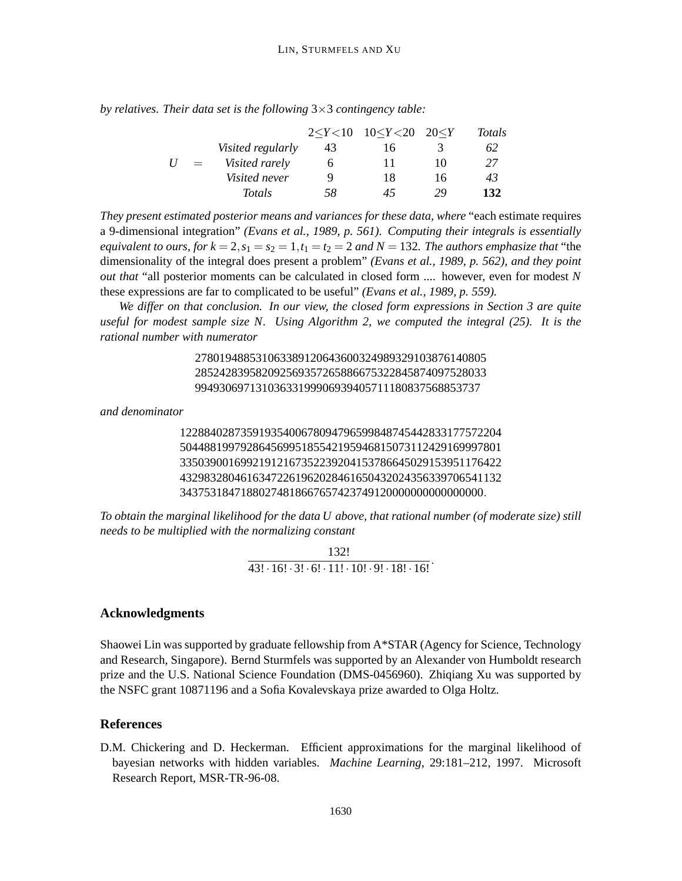*by relatives. Their data set is the following* 3×3 *contingency table:*

|   |     |                      |              | $2 < Y < 10$ $10 < Y < 20$ $20 < Y$ |    | Totals |
|---|-----|----------------------|--------------|-------------------------------------|----|--------|
|   |     | Visited regularly    | 43           | 16                                  |    | 62     |
| U | $=$ | Visited rarely       | <sub>0</sub> | 11                                  | 10 | 27     |
|   |     | <i>Visited never</i> | Q            | 18                                  | 16 | 43     |
|   |     | <b>Totals</b>        | 58           | 45                                  | 29 | 132    |

*They present estimated posterior means and variances for these data, where* "each estimate requires a 9-dimensional integration" *(Evans et al., 1989, p. 561). Computing their integrals is essentially equivalent to ours, for*  $k = 2$ ,  $s_1 = s_2 = 1$ ,  $t_1 = t_2 = 2$  *and*  $N = 132$ *. The authors emphasize that* "the dimensionality of the integral does present a problem" *(Evans et al., 1989, p. 562), and they point out that* "all posterior moments can be calculated in closed form .... however, even for modest *N* these expressions are far to complicated to be useful" *(Evans et al., 1989, p. 559).*

*We differ on that conclusion. In our view, the closed form expressions in Section 3 are quite useful for modest sample size N. Using Algorithm 2, we computed the integral (25). It is the rational number with numerator*

> 278019488531063389120643600324989329103876140805 285242839582092569357265886675322845874097528033 99493069713103633199906939405711180837568853737

*and denominator*

12288402873591935400678094796599848745442833177572204 50448819979286456995185542195946815073112429169997801 33503900169921912167352239204153786645029153951176422 43298328046163472261962028461650432024356339706541132 34375318471880274818667657423749120000000000000000.

*To obtain the marginal likelihood for the data U above, that rational number (of moderate size) still needs to be multiplied with the normalizing constant*

> 132!  $\frac{122}{43! \cdot 16! \cdot 3! \cdot 6! \cdot 11! \cdot 10! \cdot 9! \cdot 18! \cdot 16!}$

# **Acknowledgments**

Shaowei Lin was supported by graduate fellowship from A\*STAR (Agency for Science, Technology and Research, Singapore). Bernd Sturmfels was supported by an Alexander von Humboldt research prize and the U.S. National Science Foundation (DMS-0456960). Zhiqiang Xu was supported by the NSFC grant 10871196 and a Sofia Kovalevskaya prize awarded to Olga Holtz.

# **References**

D.M. Chickering and D. Heckerman. Efficient approximations for the marginal likelihood of bayesian networks with hidden variables. *Machine Learning*, 29:181–212, 1997. Microsoft Research Report, MSR-TR-96-08.